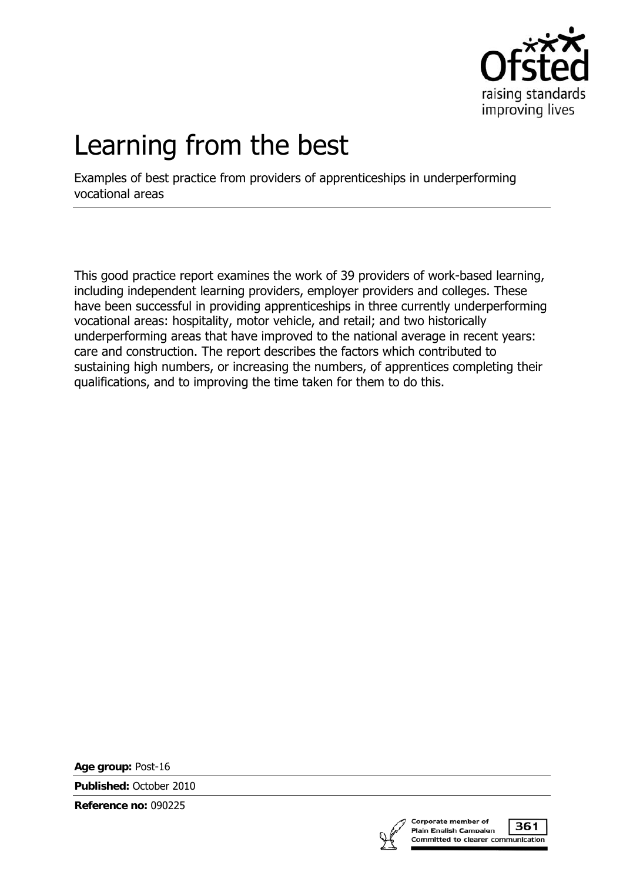

# Learning from the best

Examples of best practice from providers of apprenticeships in underperforming vocational areas

This good practice report examines the work of 39 providers of work-based learning, including independent learning providers, employer providers and colleges. These have been successful in providing apprenticeships in three currently underperforming vocational areas: hospitality, motor vehicle, and retail; and two historically underperforming areas that have improved to the national average in recent years: care and construction. The report describes the factors which contributed to sustaining high numbers, or increasing the numbers, of apprentices completing their qualifications, and to improving the time taken for them to do this.

**Age group:** Post-16

**Published:** October 2010

**Reference no:** 090225



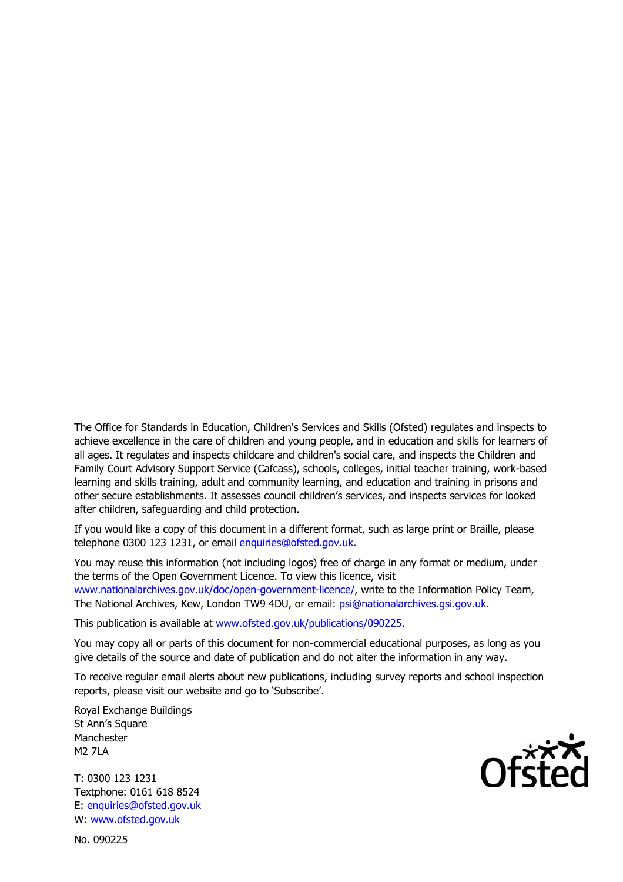The Office for Standards in Education, Children's Services and Skills (Ofsted) regulates and inspects to achieve excellence in the care of children and young people, and in education and skills for learners of all ages. It regulates and inspects childcare and children's social care, and inspects the Children and Family Court Advisory Support Service (Cafcass), schools, colleges, initial teacher training, work-based learning and skills training, adult and community learning, and education and training in prisons and other secure establishments. It assesses council children's services, and inspects services for looked after children, safeguarding and child protection.

If you would like a copy of this document in a different format, such as large print or Braille, please telephone 0300 123 1231, or email enquiries@ofsted.gov.uk.

You may reuse this information (not including logos) free of charge in any format or medium, under the terms of the Open Government Licence. To view this licence, visit www.nationalarchives.gov.uk/doc/open-government-licence/, write to the Information Policy Team, The National Archives, Kew, London TW9 4DU, or email: psi@nationalarchives.gsi.gov.uk.

This publication is available at www.ofsted.gov.uk/publications/090225.

You may copy all or parts of this document for non-commercial educational purposes, as long as you give details of the source and date of publication and do not alter the information in any way.

To receive regular email alerts about new publications, including survey reports and school inspection reports, please visit our website and go to 'Subscribe'.

Royal Exchange Buildings St Ann's Square Manchester M2 7LA

T: 0300 123 1231 Textphone: 0161 618 8524 E: enquiries@ofsted.gov.uk W: www.ofsted.gov.uk

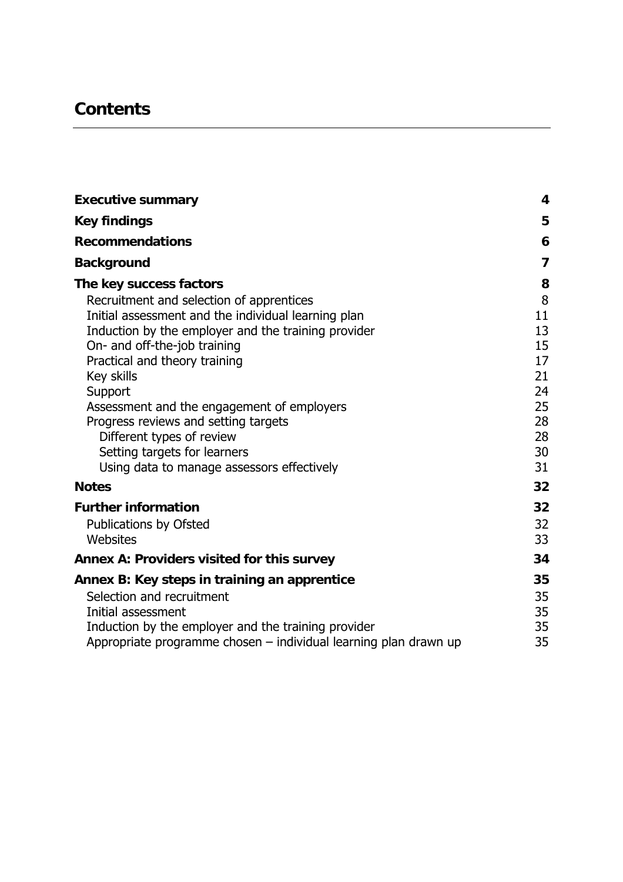# **Contents**

| <b>Executive summary</b>                                                   | $\overline{\mathbf{4}}$ |
|----------------------------------------------------------------------------|-------------------------|
| <b>Key findings</b>                                                        | 5                       |
| <b>Recommendations</b>                                                     | 6                       |
| <b>Background</b>                                                          | $\overline{7}$          |
| The key success factors                                                    | 8                       |
| Recruitment and selection of apprentices                                   | $\, 8$                  |
| Initial assessment and the individual learning plan                        | 11                      |
| Induction by the employer and the training provider                        | 13                      |
| On- and off-the-job training                                               | 15                      |
| Practical and theory training                                              | 17                      |
| Key skills                                                                 | 21                      |
| Support                                                                    | 24                      |
| Assessment and the engagement of employers                                 | 25                      |
| Progress reviews and setting targets                                       | 28                      |
| Different types of review                                                  | 28<br>30                |
| Setting targets for learners<br>Using data to manage assessors effectively | 31                      |
|                                                                            |                         |
| <b>Notes</b>                                                               | 32                      |
| <b>Further information</b>                                                 | 32                      |
| Publications by Ofsted                                                     | 32                      |
| Websites                                                                   | 33                      |
| Annex A: Providers visited for this survey                                 | 34                      |
| Annex B: Key steps in training an apprentice                               | 35                      |
| Selection and recruitment                                                  | 35                      |
| Initial assessment                                                         | 35                      |
| Induction by the employer and the training provider                        | 35                      |
| Appropriate programme chosen - individual learning plan drawn up           | 35                      |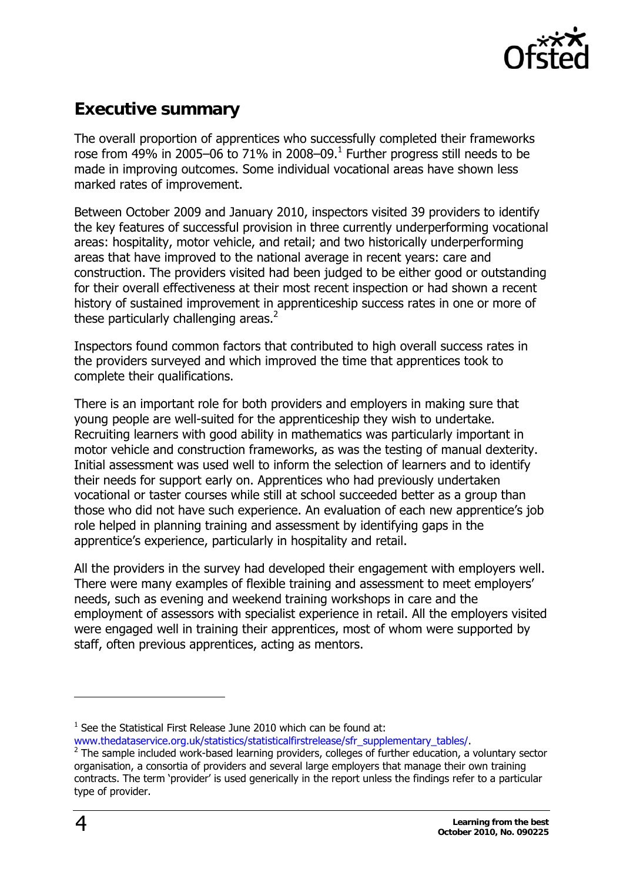

# <span id="page-3-0"></span>**Executive summary**

The overall proportion of apprentices who successfully completed their frameworks rose from 49% in 2005–06 to 7[1](#page-3-1)% in 2008–09.<sup>1</sup> Further progress still needs to be made in improving outcomes. Some individual vocational areas have shown less marked rates of improvement.

Between October 2009 and January 2010, inspectors visited 39 providers to identify the key features of successful provision in three currently underperforming vocational areas: hospitality, motor vehicle, and retail; and two historically underperforming areas that have improved to the national average in recent years: care and construction. The providers visited had been judged to be either good or outstanding for their overall effectiveness at their most recent inspection or had shown a recent history of sustained improvement in apprenticeship success rates in one or more of these particularly challenging areas. $2$ 

Inspectors found common factors that contributed to high overall success rates in the providers surveyed and which improved the time that apprentices took to complete their qualifications.

There is an important role for both providers and employers in making sure that young people are well-suited for the apprenticeship they wish to undertake. Recruiting learners with good ability in mathematics was particularly important in motor vehicle and construction frameworks, as was the testing of manual dexterity. Initial assessment was used well to inform the selection of learners and to identify their needs for support early on. Apprentices who had previously undertaken vocational or taster courses while still at school succeeded better as a group than those who did not have such experience. An evaluation of each new apprentice's job role helped in planning training and assessment by identifying gaps in the apprentice's experience, particularly in hospitality and retail.

All the providers in the survey had developed their engagement with employers well. There were many examples of flexible training and assessment to meet employers' needs, such as evening and weekend training workshops in care and the employment of assessors with specialist experience in retail. All the employers visited were engaged well in training their apprentices, most of whom were supported by staff, often previous apprentices, acting as mentors.

j

<span id="page-3-1"></span> $1$  See the Statistical First Release June 2010 which can be found at:

[www.thedataservice.org.uk/statistics/statisticalfirstrelease/sfr\\_supplementary\\_tables/](http://www.thedataservice.org.uk/statistics/statisticalfirstrelease/sfr_supplementary_tables/).

<span id="page-3-2"></span> $2$  The sample included work-based learning providers, colleges of further education, a voluntary sector organisation, a consortia of providers and several large employers that manage their own training contracts. The term 'provider' is used generically in the report unless the findings refer to a particular type of provider.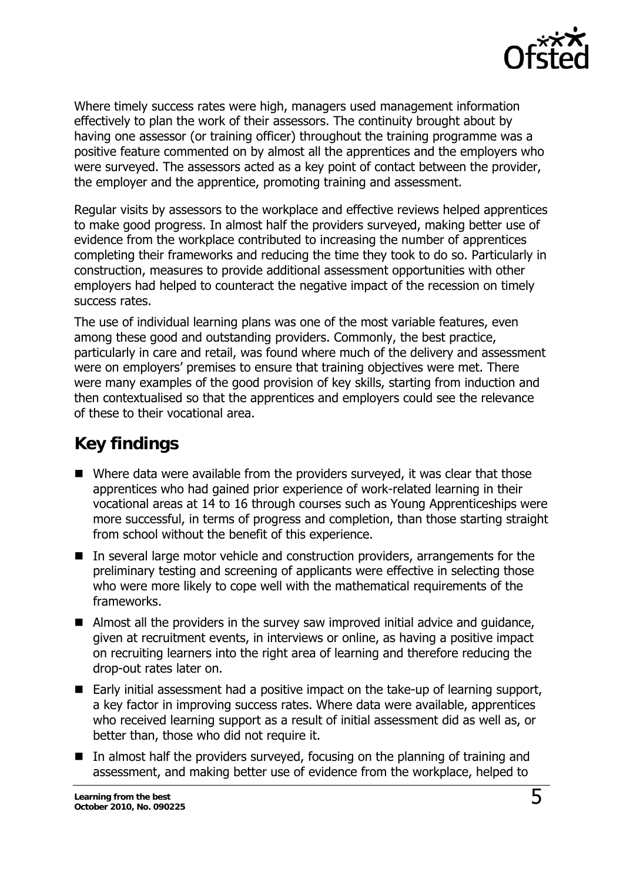

<span id="page-4-0"></span>Where timely success rates were high, managers used management information effectively to plan the work of their assessors. The continuity brought about by having one assessor (or training officer) throughout the training programme was a positive feature commented on by almost all the apprentices and the employers who were surveyed. The assessors acted as a key point of contact between the provider, the employer and the apprentice, promoting training and assessment.

Regular visits by assessors to the workplace and effective reviews helped apprentices to make good progress. In almost half the providers surveyed, making better use of evidence from the workplace contributed to increasing the number of apprentices completing their frameworks and reducing the time they took to do so. Particularly in construction, measures to provide additional assessment opportunities with other employers had helped to counteract the negative impact of the recession on timely success rates.

The use of individual learning plans was one of the most variable features, even among these good and outstanding providers. Commonly, the best practice, particularly in care and retail, was found where much of the delivery and assessment were on employers' premises to ensure that training objectives were met. There were many examples of the good provision of key skills, starting from induction and then contextualised so that the apprentices and employers could see the relevance of these to their vocational area.

# **Key findings**

- Where data were available from the providers surveyed, it was clear that those apprentices who had gained prior experience of work-related learning in their vocational areas at 14 to 16 through courses such as Young Apprenticeships were more successful, in terms of progress and completion, than those starting straight from school without the benefit of this experience.
- $\blacksquare$  In several large motor vehicle and construction providers, arrangements for the preliminary testing and screening of applicants were effective in selecting those who were more likely to cope well with the mathematical requirements of the frameworks.
- Almost all the providers in the survey saw improved initial advice and guidance, given at recruitment events, in interviews or online, as having a positive impact on recruiting learners into the right area of learning and therefore reducing the drop-out rates later on.
- Early initial assessment had a positive impact on the take-up of learning support, a key factor in improving success rates. Where data were available, apprentices who received learning support as a result of initial assessment did as well as, or better than, those who did not require it.
- $\blacksquare$  In almost half the providers surveyed, focusing on the planning of training and assessment, and making better use of evidence from the workplace, helped to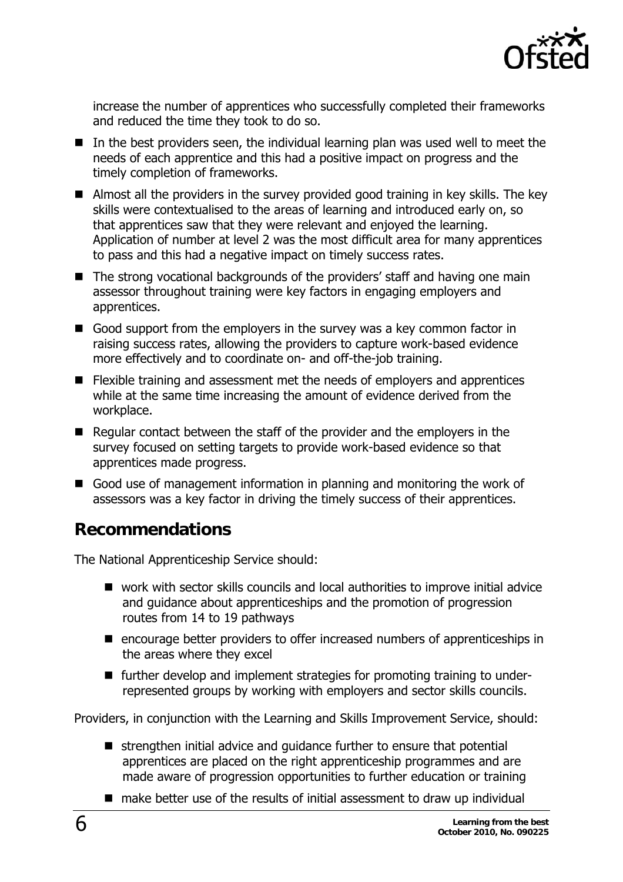

<span id="page-5-0"></span>increase the number of apprentices who successfully completed their frameworks and reduced the time they took to do so.

- $\blacksquare$  In the best providers seen, the individual learning plan was used well to meet the needs of each apprentice and this had a positive impact on progress and the timely completion of frameworks.
- Almost all the providers in the survey provided good training in key skills. The key skills were contextualised to the areas of learning and introduced early on, so that apprentices saw that they were relevant and enjoyed the learning. Application of number at level 2 was the most difficult area for many apprentices to pass and this had a negative impact on timely success rates.
- The strong vocational backgrounds of the providers' staff and having one main assessor throughout training were key factors in engaging employers and apprentices.
- Good support from the employers in the survey was a key common factor in raising success rates, allowing the providers to capture work-based evidence more effectively and to coordinate on- and off-the-job training.
- Flexible training and assessment met the needs of employers and apprentices while at the same time increasing the amount of evidence derived from the workplace.
- Regular contact between the staff of the provider and the employers in the survey focused on setting targets to provide work-based evidence so that apprentices made progress.
- Good use of management information in planning and monitoring the work of assessors was a key factor in driving the timely success of their apprentices.

# **Recommendations**

The National Apprenticeship Service should:

- work with sector skills councils and local authorities to improve initial advice and guidance about apprenticeships and the promotion of progression routes from 14 to 19 pathways
- encourage better providers to offer increased numbers of apprenticeships in the areas where they excel
- further develop and implement strategies for promoting training to underrepresented groups by working with employers and sector skills councils.

Providers, in conjunction with the Learning and Skills Improvement Service, should:

- strengthen initial advice and guidance further to ensure that potential apprentices are placed on the right apprenticeship programmes and are made aware of progression opportunities to further education or training
- make better use of the results of initial assessment to draw up individual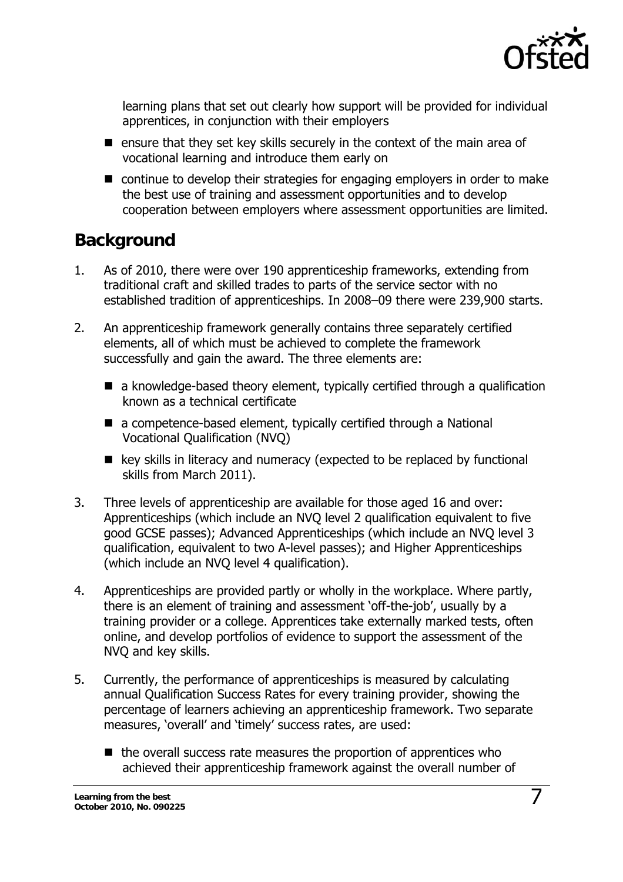

<span id="page-6-0"></span>learning plans that set out clearly how support will be provided for individual apprentices, in conjunction with their employers

- $\blacksquare$  ensure that they set key skills securely in the context of the main area of vocational learning and introduce them early on
- continue to develop their strategies for engaging employers in order to make the best use of training and assessment opportunities and to develop cooperation between employers where assessment opportunities are limited.

# **Background**

- 1. As of 2010, there were over 190 apprenticeship frameworks, extending from traditional craft and skilled trades to parts of the service sector with no established tradition of apprenticeships. In 2008–09 there were 239,900 starts.
- 2. An apprenticeship framework generally contains three separately certified elements, all of which must be achieved to complete the framework successfully and gain the award. The three elements are:
	- a knowledge-based theory element, typically certified through a qualification known as a technical certificate
	- a competence-based element, typically certified through a National Vocational Qualification (NVQ)
	- $\blacksquare$  key skills in literacy and numeracy (expected to be replaced by functional skills from March 2011).
- 3. Three levels of apprenticeship are available for those aged 16 and over: Apprenticeships (which include an NVQ level 2 qualification equivalent to five good GCSE passes); Advanced Apprenticeships (which include an NVQ level 3 qualification, equivalent to two A-level passes); and Higher Apprenticeships (which include an NVQ level 4 qualification).
- 4. Apprenticeships are provided partly or wholly in the workplace. Where partly, there is an element of training and assessment 'off-the-job', usually by a training provider or a college. Apprentices take externally marked tests, often online, and develop portfolios of evidence to support the assessment of the NVQ and key skills.
- 5. Currently, the performance of apprenticeships is measured by calculating annual Qualification Success Rates for every training provider, showing the percentage of learners achieving an apprenticeship framework. Two separate measures, 'overall' and 'timely' success rates, are used:
	- $\blacksquare$  the overall success rate measures the proportion of apprentices who achieved their apprenticeship framework against the overall number of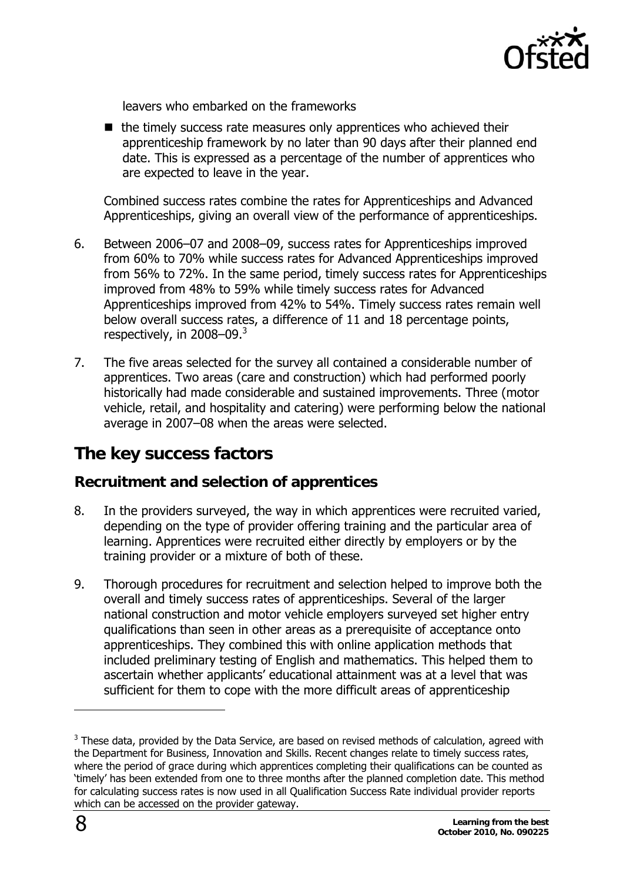

<span id="page-7-0"></span>leavers who embarked on the frameworks

 $\blacksquare$  the timely success rate measures only apprentices who achieved their apprenticeship framework by no later than 90 days after their planned end date. This is expressed as a percentage of the number of apprentices who are expected to leave in the year.

Combined success rates combine the rates for Apprenticeships and Advanced Apprenticeships, giving an overall view of the performance of apprenticeships.

- 6. Between 2006–07 and 2008–09, success rates for Apprenticeships improved from 60% to 70% while success rates for Advanced Apprenticeships improved from 56% to 72%. In the same period, timely success rates for Apprenticeships improved from 48% to 59% while timely success rates for Advanced Apprenticeships improved from 42% to 54%. Timely success rates remain well below overall success rates, a difference of 11 and 18 percentage points, respectively, in  $2008 - 09<sup>3</sup>$
- 7. The five areas selected for the survey all contained a considerable number of apprentices. Two areas (care and construction) which had performed poorly historically had made considerable and sustained improvements. Three (motor vehicle, retail, and hospitality and catering) were performing below the national average in 2007–08 when the areas were selected.

# **The key success factors**

### **Recruitment and selection of apprentices**

- 8. In the providers surveyed, the way in which apprentices were recruited varied, depending on the type of provider offering training and the particular area of learning. Apprentices were recruited either directly by employers or by the training provider or a mixture of both of these.
- 9. Thorough procedures for recruitment and selection helped to improve both the overall and timely success rates of apprenticeships. Several of the larger national construction and motor vehicle employers surveyed set higher entry qualifications than seen in other areas as a prerequisite of acceptance onto apprenticeships. They combined this with online application methods that included preliminary testing of English and mathematics. This helped them to ascertain whether applicants' educational attainment was at a level that was sufficient for them to cope with the more difficult areas of apprenticeship

j

<span id="page-7-1"></span> $3$  These data, provided by the Data Service, are based on revised methods of calculation, agreed with the Department for Business, Innovation and Skills. Recent changes relate to timely success rates, where the period of grace during which apprentices completing their qualifications can be counted as 'timely' has been extended from one to three months after the planned completion date. This method for calculating success rates is now used in all Qualification Success Rate individual provider reports which can be accessed on the provider gateway.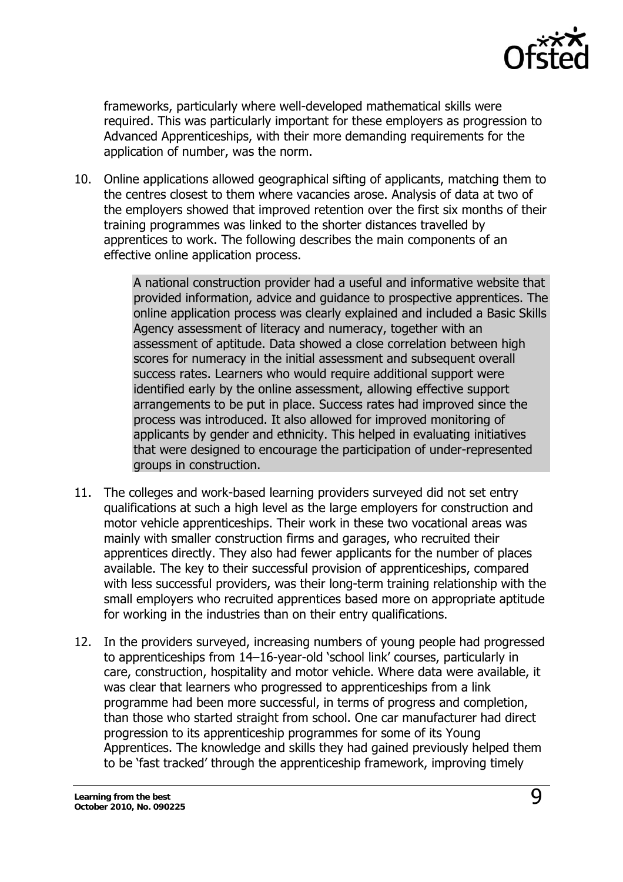

frameworks, particularly where well-developed mathematical skills were required. This was particularly important for these employers as progression to Advanced Apprenticeships, with their more demanding requirements for the application of number, was the norm.

10. Online applications allowed geographical sifting of applicants, matching them to the centres closest to them where vacancies arose. Analysis of data at two of the employers showed that improved retention over the first six months of their training programmes was linked to the shorter distances travelled by apprentices to work. The following describes the main components of an effective online application process.

> A national construction provider had a useful and informative website that provided information, advice and guidance to prospective apprentices. The online application process was clearly explained and included a Basic Skills Agency assessment of literacy and numeracy, together with an assessment of aptitude. Data showed a close correlation between high scores for numeracy in the initial assessment and subsequent overall success rates. Learners who would require additional support were identified early by the online assessment, allowing effective support arrangements to be put in place. Success rates had improved since the process was introduced. It also allowed for improved monitoring of applicants by gender and ethnicity. This helped in evaluating initiatives that were designed to encourage the participation of under-represented groups in construction.

- 11. The colleges and work-based learning providers surveyed did not set entry qualifications at such a high level as the large employers for construction and motor vehicle apprenticeships. Their work in these two vocational areas was mainly with smaller construction firms and garages, who recruited their apprentices directly. They also had fewer applicants for the number of places available. The key to their successful provision of apprenticeships, compared with less successful providers, was their long-term training relationship with the small employers who recruited apprentices based more on appropriate aptitude for working in the industries than on their entry qualifications.
- 12. In the providers surveyed, increasing numbers of young people had progressed to apprenticeships from 14–16-year-old 'school link' courses, particularly in care, construction, hospitality and motor vehicle. Where data were available, it was clear that learners who progressed to apprenticeships from a link programme had been more successful, in terms of progress and completion, than those who started straight from school. One car manufacturer had direct progression to its apprenticeship programmes for some of its Young Apprentices. The knowledge and skills they had gained previously helped them to be 'fast tracked' through the apprenticeship framework, improving timely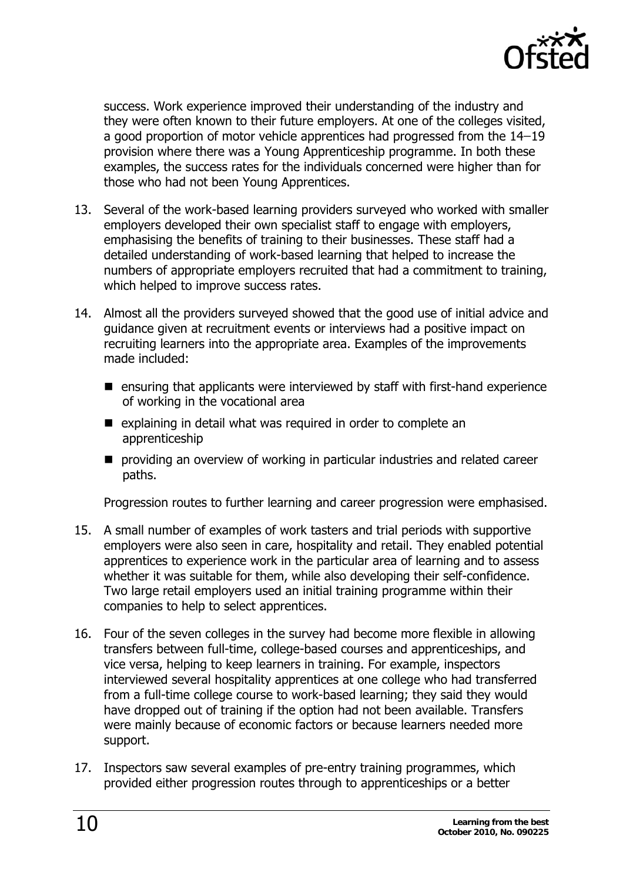

success. Work experience improved their understanding of the industry and they were often known to their future employers. At one of the colleges visited, a good proportion of motor vehicle apprentices had progressed from the 14–19 provision where there was a Young Apprenticeship programme. In both these examples, the success rates for the individuals concerned were higher than for those who had not been Young Apprentices.

- 13. Several of the work-based learning providers surveyed who worked with smaller employers developed their own specialist staff to engage with employers, emphasising the benefits of training to their businesses. These staff had a detailed understanding of work-based learning that helped to increase the numbers of appropriate employers recruited that had a commitment to training, which helped to improve success rates.
- 14. Almost all the providers surveyed showed that the good use of initial advice and guidance given at recruitment events or interviews had a positive impact on recruiting learners into the appropriate area. Examples of the improvements made included:
	- ensuring that applicants were interviewed by staff with first-hand experience of working in the vocational area
	- $\blacksquare$  explaining in detail what was required in order to complete an apprenticeship
	- **P** providing an overview of working in particular industries and related career paths.

Progression routes to further learning and career progression were emphasised.

- 15. A small number of examples of work tasters and trial periods with supportive employers were also seen in care, hospitality and retail. They enabled potential apprentices to experience work in the particular area of learning and to assess whether it was suitable for them, while also developing their self-confidence. Two large retail employers used an initial training programme within their companies to help to select apprentices.
- 16. Four of the seven colleges in the survey had become more flexible in allowing transfers between full-time, college-based courses and apprenticeships, and vice versa, helping to keep learners in training. For example, inspectors interviewed several hospitality apprentices at one college who had transferred from a full-time college course to work-based learning; they said they would have dropped out of training if the option had not been available. Transfers were mainly because of economic factors or because learners needed more support.
- 17. Inspectors saw several examples of pre-entry training programmes, which provided either progression routes through to apprenticeships or a better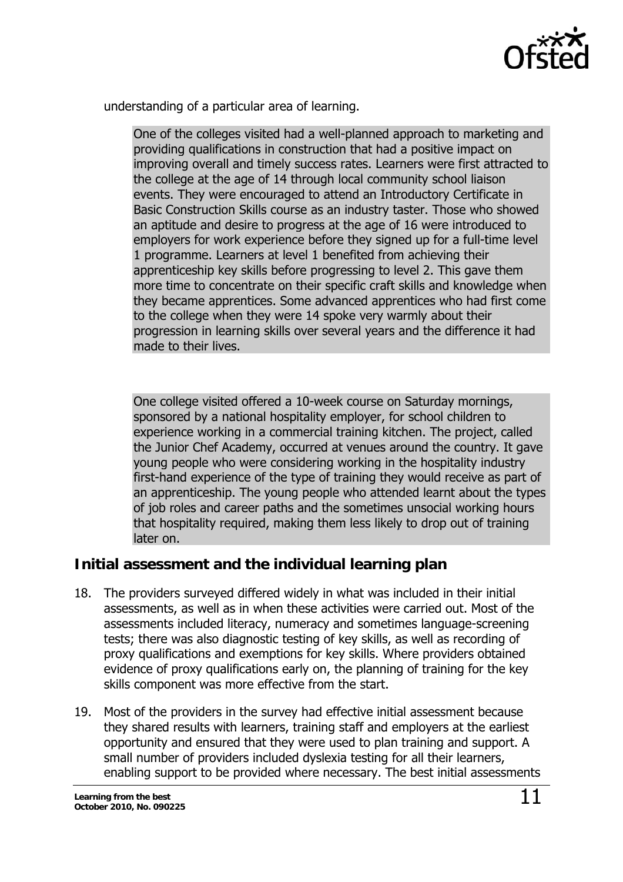

<span id="page-10-0"></span>understanding of a particular area of learning.

One of the colleges visited had a well-planned approach to marketing and providing qualifications in construction that had a positive impact on improving overall and timely success rates. Learners were first attracted to the college at the age of 14 through local community school liaison events. They were encouraged to attend an Introductory Certificate in Basic Construction Skills course as an industry taster. Those who showed an aptitude and desire to progress at the age of 16 were introduced to employers for work experience before they signed up for a full-time level 1 programme. Learners at level 1 benefited from achieving their apprenticeship key skills before progressing to level 2. This gave them more time to concentrate on their specific craft skills and knowledge when they became apprentices. Some advanced apprentices who had first come to the college when they were 14 spoke very warmly about their progression in learning skills over several years and the difference it had made to their lives.

One college visited offered a 10-week course on Saturday mornings, sponsored by a national hospitality employer, for school children to experience working in a commercial training kitchen. The project, called the Junior Chef Academy, occurred at venues around the country. It gave young people who were considering working in the hospitality industry first-hand experience of the type of training they would receive as part of an apprenticeship. The young people who attended learnt about the types of job roles and career paths and the sometimes unsocial working hours that hospitality required, making them less likely to drop out of training later on.

### **Initial assessment and the individual learning plan**

- 18. The providers surveyed differed widely in what was included in their initial assessments, as well as in when these activities were carried out. Most of the assessments included literacy, numeracy and sometimes language-screening tests; there was also diagnostic testing of key skills, as well as recording of proxy qualifications and exemptions for key skills. Where providers obtained evidence of proxy qualifications early on, the planning of training for the key skills component was more effective from the start.
- 19. Most of the providers in the survey had effective initial assessment because they shared results with learners, training staff and employers at the earliest opportunity and ensured that they were used to plan training and support. A small number of providers included dyslexia testing for all their learners, enabling support to be provided where necessary. The best initial assessments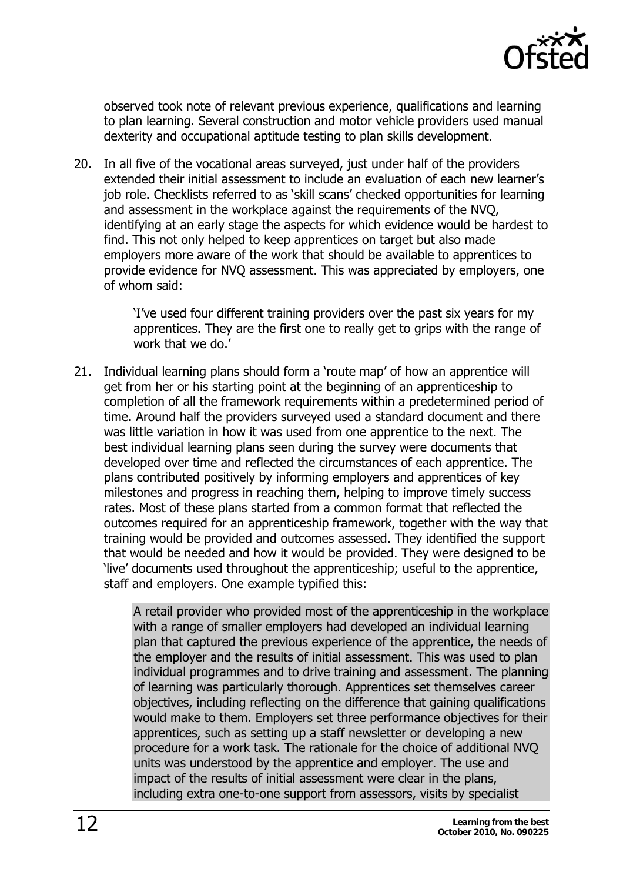

observed took note of relevant previous experience, qualifications and learning to plan learning. Several construction and motor vehicle providers used manual dexterity and occupational aptitude testing to plan skills development.

20. In all five of the vocational areas surveyed, just under half of the providers extended their initial assessment to include an evaluation of each new learner's job role. Checklists referred to as 'skill scans' checked opportunities for learning and assessment in the workplace against the requirements of the NVQ, identifying at an early stage the aspects for which evidence would be hardest to find. This not only helped to keep apprentices on target but also made employers more aware of the work that should be available to apprentices to provide evidence for NVQ assessment. This was appreciated by employers, one of whom said:

> 'I've used four different training providers over the past six years for my apprentices. They are the first one to really get to grips with the range of work that we do.'

21. Individual learning plans should form a 'route map' of how an apprentice will get from her or his starting point at the beginning of an apprenticeship to completion of all the framework requirements within a predetermined period of time. Around half the providers surveyed used a standard document and there was little variation in how it was used from one apprentice to the next. The best individual learning plans seen during the survey were documents that developed over time and reflected the circumstances of each apprentice. The plans contributed positively by informing employers and apprentices of key milestones and progress in reaching them, helping to improve timely success rates. Most of these plans started from a common format that reflected the outcomes required for an apprenticeship framework, together with the way that training would be provided and outcomes assessed. They identified the support that would be needed and how it would be provided. They were designed to be 'live' documents used throughout the apprenticeship; useful to the apprentice, staff and employers. One example typified this:

> A retail provider who provided most of the apprenticeship in the workplace with a range of smaller employers had developed an individual learning plan that captured the previous experience of the apprentice, the needs of the employer and the results of initial assessment. This was used to plan individual programmes and to drive training and assessment. The planning of learning was particularly thorough. Apprentices set themselves career objectives, including reflecting on the difference that gaining qualifications would make to them. Employers set three performance objectives for their apprentices, such as setting up a staff newsletter or developing a new procedure for a work task. The rationale for the choice of additional NVQ units was understood by the apprentice and employer. The use and impact of the results of initial assessment were clear in the plans, including extra one-to-one support from assessors, visits by specialist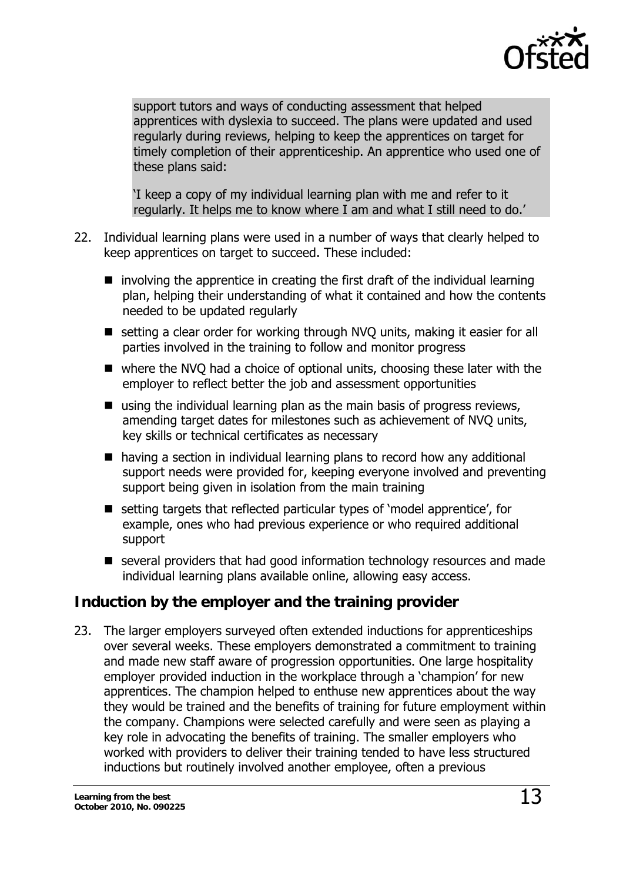

<span id="page-12-0"></span>support tutors and ways of conducting assessment that helped apprentices with dyslexia to succeed. The plans were updated and used regularly during reviews, helping to keep the apprentices on target for timely completion of their apprenticeship. An apprentice who used one of these plans said:

'I keep a copy of my individual learning plan with me and refer to it regularly. It helps me to know where I am and what I still need to do.'

- 22. Individual learning plans were used in a number of ways that clearly helped to keep apprentices on target to succeed. These included:
	- $\blacksquare$  involving the apprentice in creating the first draft of the individual learning plan, helping their understanding of what it contained and how the contents needed to be updated regularly
	- setting a clear order for working through NVQ units, making it easier for all parties involved in the training to follow and monitor progress
	- where the NVQ had a choice of optional units, choosing these later with the employer to reflect better the job and assessment opportunities
	- using the individual learning plan as the main basis of progress reviews, amending target dates for milestones such as achievement of NVQ units, key skills or technical certificates as necessary
	- having a section in individual learning plans to record how any additional support needs were provided for, keeping everyone involved and preventing support being given in isolation from the main training
	- setting targets that reflected particular types of 'model apprentice', for example, ones who had previous experience or who required additional support
	- several providers that had good information technology resources and made individual learning plans available online, allowing easy access.

## **Induction by the employer and the training provider**

23. The larger employers surveyed often extended inductions for apprenticeships over several weeks. These employers demonstrated a commitment to training and made new staff aware of progression opportunities. One large hospitality employer provided induction in the workplace through a 'champion' for new apprentices. The champion helped to enthuse new apprentices about the way they would be trained and the benefits of training for future employment within the company. Champions were selected carefully and were seen as playing a key role in advocating the benefits of training. The smaller employers who worked with providers to deliver their training tended to have less structured inductions but routinely involved another employee, often a previous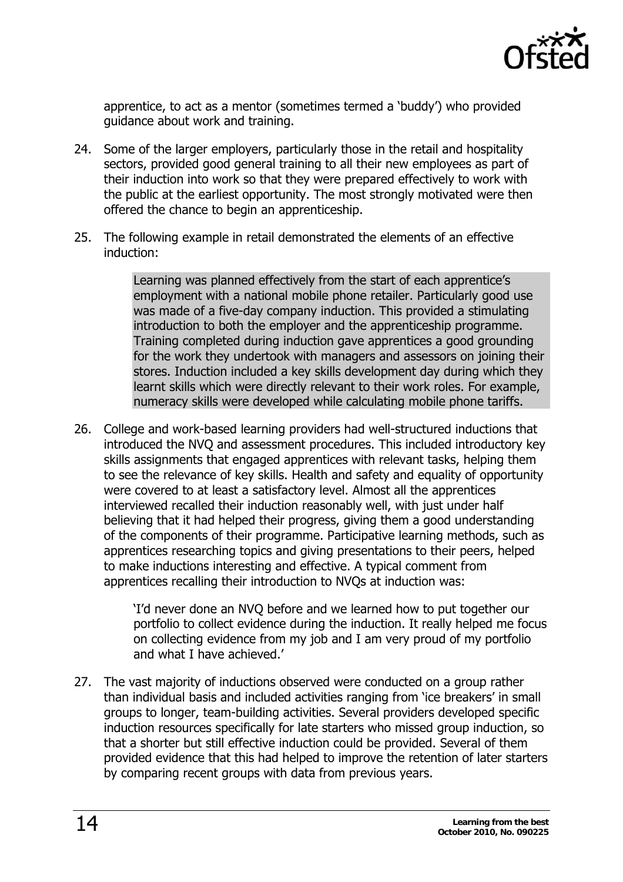

apprentice, to act as a mentor (sometimes termed a 'buddy') who provided guidance about work and training.

- 24. Some of the larger employers, particularly those in the retail and hospitality sectors, provided good general training to all their new employees as part of their induction into work so that they were prepared effectively to work with the public at the earliest opportunity. The most strongly motivated were then offered the chance to begin an apprenticeship.
- 25. The following example in retail demonstrated the elements of an effective induction:

Learning was planned effectively from the start of each apprentice's employment with a national mobile phone retailer. Particularly good use was made of a five-day company induction. This provided a stimulating introduction to both the employer and the apprenticeship programme. Training completed during induction gave apprentices a good grounding for the work they undertook with managers and assessors on joining their stores. Induction included a key skills development day during which they learnt skills which were directly relevant to their work roles. For example, numeracy skills were developed while calculating mobile phone tariffs.

26. College and work-based learning providers had well-structured inductions that introduced the NVQ and assessment procedures. This included introductory key skills assignments that engaged apprentices with relevant tasks, helping them to see the relevance of key skills. Health and safety and equality of opportunity were covered to at least a satisfactory level. Almost all the apprentices interviewed recalled their induction reasonably well, with just under half believing that it had helped their progress, giving them a good understanding of the components of their programme. Participative learning methods, such as apprentices researching topics and giving presentations to their peers, helped to make inductions interesting and effective. A typical comment from apprentices recalling their introduction to NVQs at induction was:

> 'I'd never done an NVQ before and we learned how to put together our portfolio to collect evidence during the induction. It really helped me focus on collecting evidence from my job and I am very proud of my portfolio and what I have achieved.'

27. The vast majority of inductions observed were conducted on a group rather than individual basis and included activities ranging from 'ice breakers' in small groups to longer, team-building activities. Several providers developed specific induction resources specifically for late starters who missed group induction, so that a shorter but still effective induction could be provided. Several of them provided evidence that this had helped to improve the retention of later starters by comparing recent groups with data from previous years.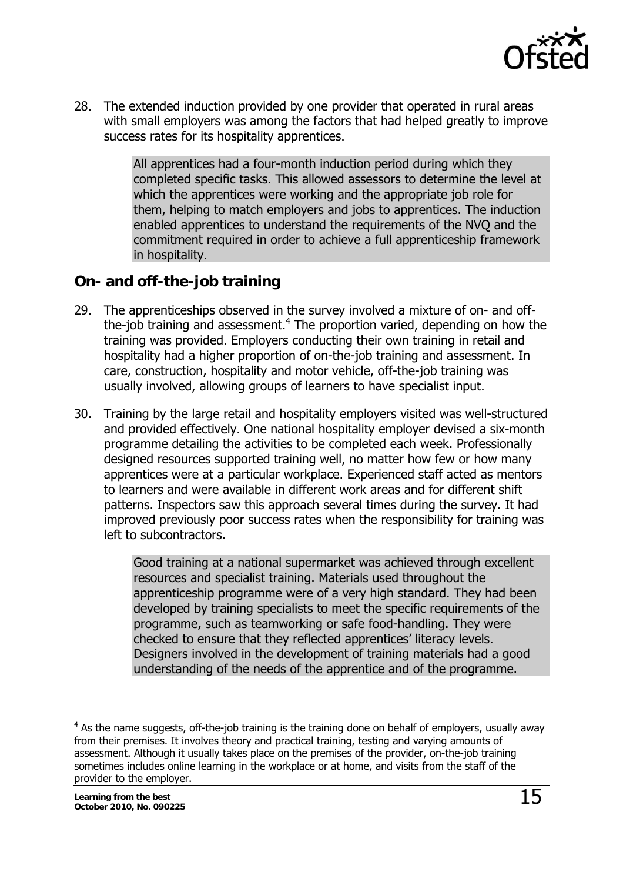

<span id="page-14-0"></span>28. The extended induction provided by one provider that operated in rural areas with small employers was among the factors that had helped greatly to improve success rates for its hospitality apprentices.

> All apprentices had a four-month induction period during which they completed specific tasks. This allowed assessors to determine the level at which the apprentices were working and the appropriate job role for them, helping to match employers and jobs to apprentices. The induction enabled apprentices to understand the requirements of the NVQ and the commitment required in order to achieve a full apprenticeship framework in hospitality.

### **On- and off-the-job training**

- 29. The apprenticeships observed in the survey involved a mixture of on- and offthe-job training and assessment. $4$  The proportion varied, depending on how the training was provided. Employers conducting their own training in retail and hospitality had a higher proportion of on-the-job training and assessment. In care, construction, hospitality and motor vehicle, off-the-job training was usually involved, allowing groups of learners to have specialist input.
- 30. Training by the large retail and hospitality employers visited was well-structured and provided effectively. One national hospitality employer devised a six-month programme detailing the activities to be completed each week. Professionally designed resources supported training well, no matter how few or how many apprentices were at a particular workplace. Experienced staff acted as mentors to learners and were available in different work areas and for different shift patterns. Inspectors saw this approach several times during the survey. It had improved previously poor success rates when the responsibility for training was left to subcontractors.

Good training at a national supermarket was achieved through excellent resources and specialist training. Materials used throughout the apprenticeship programme were of a very high standard. They had been developed by training specialists to meet the specific requirements of the programme, such as teamworking or safe food-handling. They were checked to ensure that they reflected apprentices' literacy levels. Designers involved in the development of training materials had a good understanding of the needs of the apprentice and of the programme.

j

<span id="page-14-1"></span> $4$  As the name suggests, off-the-job training is the training done on behalf of employers, usually away from their premises. It involves theory and practical training, testing and varying amounts of assessment. Although it usually takes place on the premises of the provider, on-the-job training sometimes includes online learning in the workplace or at home, and visits from the staff of the provider to the employer.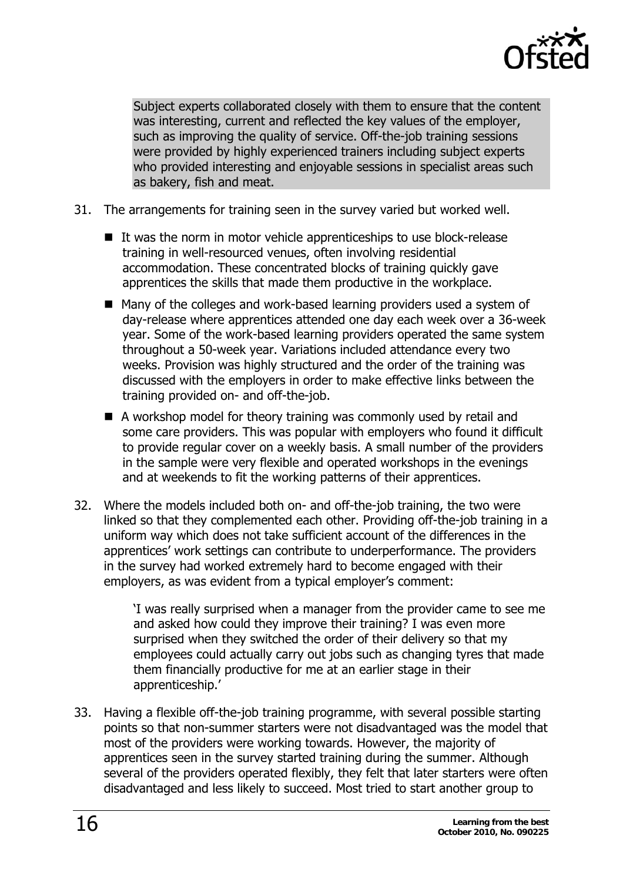

Subject experts collaborated closely with them to ensure that the content was interesting, current and reflected the key values of the employer, such as improving the quality of service. Off-the-job training sessions were provided by highly experienced trainers including subject experts who provided interesting and enjoyable sessions in specialist areas such as bakery, fish and meat.

- 31. The arrangements for training seen in the survey varied but worked well.
	- $\blacksquare$  It was the norm in motor vehicle apprenticeships to use block-release training in well-resourced venues, often involving residential accommodation. These concentrated blocks of training quickly gave apprentices the skills that made them productive in the workplace.
	- Many of the colleges and work-based learning providers used a system of day-release where apprentices attended one day each week over a 36-week year. Some of the work-based learning providers operated the same system throughout a 50-week year. Variations included attendance every two weeks. Provision was highly structured and the order of the training was discussed with the employers in order to make effective links between the training provided on- and off-the-job.
	- A workshop model for theory training was commonly used by retail and some care providers. This was popular with employers who found it difficult to provide regular cover on a weekly basis. A small number of the providers in the sample were very flexible and operated workshops in the evenings and at weekends to fit the working patterns of their apprentices.
- 32. Where the models included both on- and off-the-job training, the two were linked so that they complemented each other. Providing off-the-job training in a uniform way which does not take sufficient account of the differences in the apprentices' work settings can contribute to underperformance. The providers in the survey had worked extremely hard to become engaged with their employers, as was evident from a typical employer's comment:

'I was really surprised when a manager from the provider came to see me and asked how could they improve their training? I was even more surprised when they switched the order of their delivery so that my employees could actually carry out jobs such as changing tyres that made them financially productive for me at an earlier stage in their apprenticeship.'

33. Having a flexible off-the-job training programme, with several possible starting points so that non-summer starters were not disadvantaged was the model that most of the providers were working towards. However, the majority of apprentices seen in the survey started training during the summer. Although several of the providers operated flexibly, they felt that later starters were often disadvantaged and less likely to succeed. Most tried to start another group to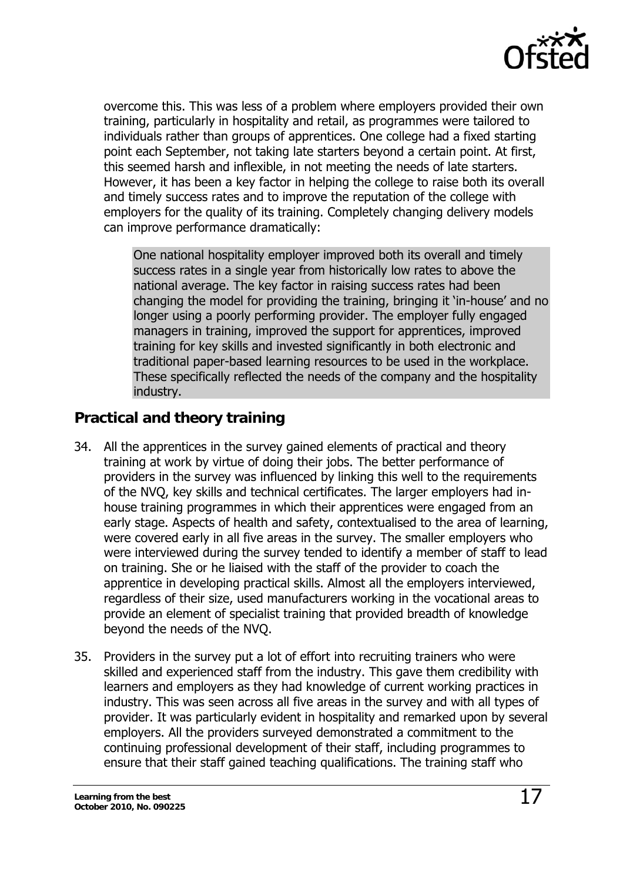

<span id="page-16-0"></span>overcome this. This was less of a problem where employers provided their own training, particularly in hospitality and retail, as programmes were tailored to individuals rather than groups of apprentices. One college had a fixed starting point each September, not taking late starters beyond a certain point. At first, this seemed harsh and inflexible, in not meeting the needs of late starters. However, it has been a key factor in helping the college to raise both its overall and timely success rates and to improve the reputation of the college with employers for the quality of its training. Completely changing delivery models can improve performance dramatically:

One national hospitality employer improved both its overall and timely success rates in a single year from historically low rates to above the national average. The key factor in raising success rates had been changing the model for providing the training, bringing it 'in-house' and no longer using a poorly performing provider. The employer fully engaged managers in training, improved the support for apprentices, improved training for key skills and invested significantly in both electronic and traditional paper-based learning resources to be used in the workplace. These specifically reflected the needs of the company and the hospitality industry.

### **Practical and theory training**

- 34. All the apprentices in the survey gained elements of practical and theory training at work by virtue of doing their jobs. The better performance of providers in the survey was influenced by linking this well to the requirements of the NVQ, key skills and technical certificates. The larger employers had inhouse training programmes in which their apprentices were engaged from an early stage. Aspects of health and safety, contextualised to the area of learning, were covered early in all five areas in the survey. The smaller employers who were interviewed during the survey tended to identify a member of staff to lead on training. She or he liaised with the staff of the provider to coach the apprentice in developing practical skills. Almost all the employers interviewed, regardless of their size, used manufacturers working in the vocational areas to provide an element of specialist training that provided breadth of knowledge beyond the needs of the NVQ.
- 35. Providers in the survey put a lot of effort into recruiting trainers who were skilled and experienced staff from the industry. This gave them credibility with learners and employers as they had knowledge of current working practices in industry. This was seen across all five areas in the survey and with all types of provider. It was particularly evident in hospitality and remarked upon by several employers. All the providers surveyed demonstrated a commitment to the continuing professional development of their staff, including programmes to ensure that their staff gained teaching qualifications. The training staff who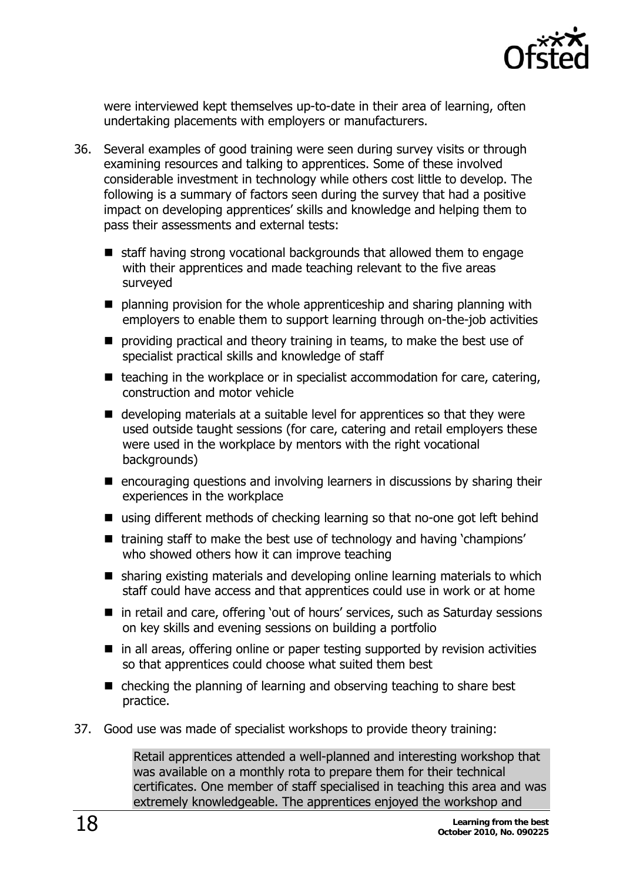

were interviewed kept themselves up-to-date in their area of learning, often undertaking placements with employers or manufacturers.

- 36. Several examples of good training were seen during survey visits or through examining resources and talking to apprentices. Some of these involved considerable investment in technology while others cost little to develop. The following is a summary of factors seen during the survey that had a positive impact on developing apprentices' skills and knowledge and helping them to pass their assessments and external tests:
	- $\blacksquare$  staff having strong vocational backgrounds that allowed them to engage with their apprentices and made teaching relevant to the five areas surveyed
	- planning provision for the whole apprenticeship and sharing planning with employers to enable them to support learning through on-the-job activities
	- **P** providing practical and theory training in teams, to make the best use of specialist practical skills and knowledge of staff
	- $\blacksquare$  teaching in the workplace or in specialist accommodation for care, catering, construction and motor vehicle
	- developing materials at a suitable level for apprentices so that they were used outside taught sessions (for care, catering and retail employers these were used in the workplace by mentors with the right vocational backgrounds)
	- $\blacksquare$  encouraging questions and involving learners in discussions by sharing their experiences in the workplace
	- using different methods of checking learning so that no-one got left behind
	- training staff to make the best use of technology and having 'champions' who showed others how it can improve teaching
	- sharing existing materials and developing online learning materials to which staff could have access and that apprentices could use in work or at home
	- in retail and care, offering 'out of hours' services, such as Saturday sessions on key skills and evening sessions on building a portfolio
	- $\blacksquare$  in all areas, offering online or paper testing supported by revision activities so that apprentices could choose what suited them best
	- $\blacksquare$  checking the planning of learning and observing teaching to share best practice.
- 37. Good use was made of specialist workshops to provide theory training:

Retail apprentices attended a well-planned and interesting workshop that was available on a monthly rota to prepare them for their technical certificates. One member of staff specialised in teaching this area and was extremely knowledgeable. The apprentices enjoyed the workshop and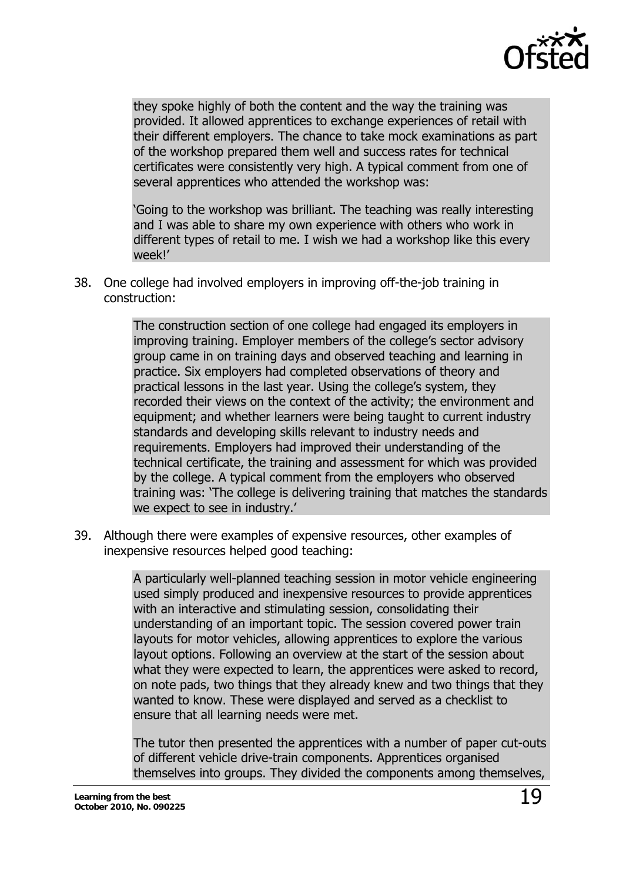

they spoke highly of both the content and the way the training was provided. It allowed apprentices to exchange experiences of retail with their different employers. The chance to take mock examinations as part of the workshop prepared them well and success rates for technical certificates were consistently very high. A typical comment from one of several apprentices who attended the workshop was:

'Going to the workshop was brilliant. The teaching was really interesting and I was able to share my own experience with others who work in different types of retail to me. I wish we had a workshop like this every week!'

38. One college had involved employers in improving off-the-job training in construction:

> The construction section of one college had engaged its employers in improving training. Employer members of the college's sector advisory group came in on training days and observed teaching and learning in practice. Six employers had completed observations of theory and practical lessons in the last year. Using the college's system, they recorded their views on the context of the activity; the environment and equipment; and whether learners were being taught to current industry standards and developing skills relevant to industry needs and requirements. Employers had improved their understanding of the technical certificate, the training and assessment for which was provided by the college. A typical comment from the employers who observed training was: 'The college is delivering training that matches the standards we expect to see in industry.'

39. Although there were examples of expensive resources, other examples of inexpensive resources helped good teaching:

> A particularly well-planned teaching session in motor vehicle engineering used simply produced and inexpensive resources to provide apprentices with an interactive and stimulating session, consolidating their understanding of an important topic. The session covered power train layouts for motor vehicles, allowing apprentices to explore the various layout options. Following an overview at the start of the session about what they were expected to learn, the apprentices were asked to record, on note pads, two things that they already knew and two things that they wanted to know. These were displayed and served as a checklist to ensure that all learning needs were met.

> The tutor then presented the apprentices with a number of paper cut-outs of different vehicle drive-train components. Apprentices organised themselves into groups. They divided the components among themselves,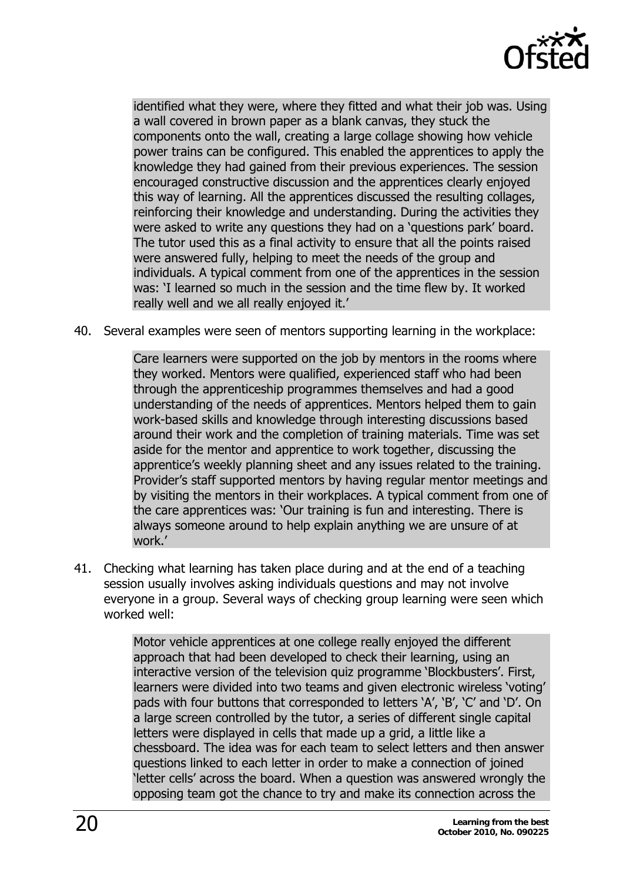

identified what they were, where they fitted and what their job was. Using a wall covered in brown paper as a blank canvas, they stuck the components onto the wall, creating a large collage showing how vehicle power trains can be configured. This enabled the apprentices to apply the knowledge they had gained from their previous experiences. The session encouraged constructive discussion and the apprentices clearly enjoyed this way of learning. All the apprentices discussed the resulting collages, reinforcing their knowledge and understanding. During the activities they were asked to write any questions they had on a 'questions park' board. The tutor used this as a final activity to ensure that all the points raised were answered fully, helping to meet the needs of the group and individuals. A typical comment from one of the apprentices in the session was: 'I learned so much in the session and the time flew by. It worked really well and we all really enjoyed it.'

40. Several examples were seen of mentors supporting learning in the workplace:

Care learners were supported on the job by mentors in the rooms where they worked. Mentors were qualified, experienced staff who had been through the apprenticeship programmes themselves and had a good understanding of the needs of apprentices. Mentors helped them to gain work-based skills and knowledge through interesting discussions based around their work and the completion of training materials. Time was set aside for the mentor and apprentice to work together, discussing the apprentice's weekly planning sheet and any issues related to the training. Provider's staff supported mentors by having regular mentor meetings and by visiting the mentors in their workplaces. A typical comment from one of the care apprentices was: 'Our training is fun and interesting. There is always someone around to help explain anything we are unsure of at work.'

41. Checking what learning has taken place during and at the end of a teaching session usually involves asking individuals questions and may not involve everyone in a group. Several ways of checking group learning were seen which worked well:

> Motor vehicle apprentices at one college really enjoyed the different approach that had been developed to check their learning, using an interactive version of the television quiz programme 'Blockbusters'. First, learners were divided into two teams and given electronic wireless 'voting' pads with four buttons that corresponded to letters 'A', 'B', 'C' and 'D'. On a large screen controlled by the tutor, a series of different single capital letters were displayed in cells that made up a grid, a little like a chessboard. The idea was for each team to select letters and then answer questions linked to each letter in order to make a connection of joined 'letter cells' across the board. When a question was answered wrongly the opposing team got the chance to try and make its connection across the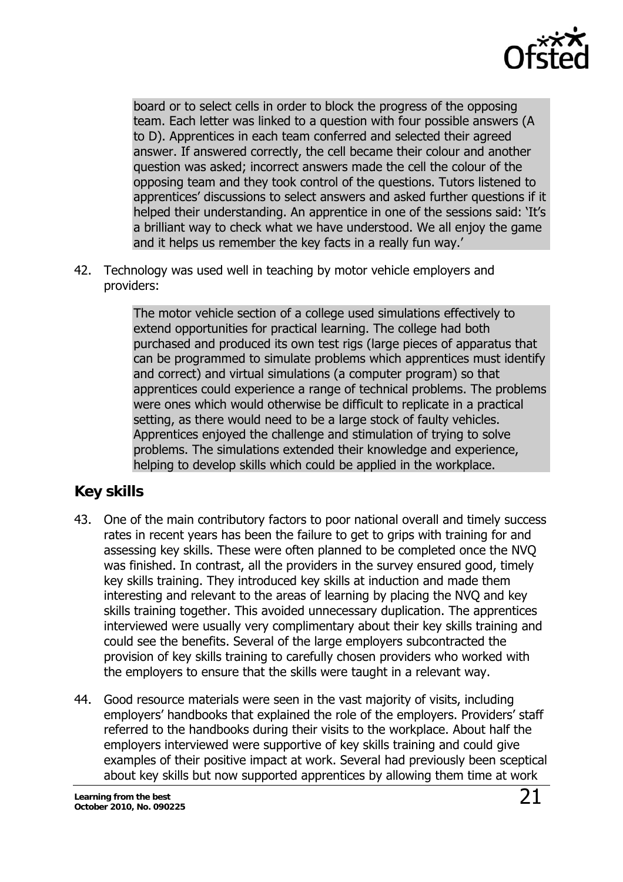

<span id="page-20-0"></span>board or to select cells in order to block the progress of the opposing team. Each letter was linked to a question with four possible answers (A to D). Apprentices in each team conferred and selected their agreed answer. If answered correctly, the cell became their colour and another question was asked; incorrect answers made the cell the colour of the opposing team and they took control of the questions. Tutors listened to apprentices' discussions to select answers and asked further questions if it helped their understanding. An apprentice in one of the sessions said: 'It's a brilliant way to check what we have understood. We all enjoy the game and it helps us remember the key facts in a really fun way.'

42. Technology was used well in teaching by motor vehicle employers and providers:

> The motor vehicle section of a college used simulations effectively to extend opportunities for practical learning. The college had both purchased and produced its own test rigs (large pieces of apparatus that can be programmed to simulate problems which apprentices must identify and correct) and virtual simulations (a computer program) so that apprentices could experience a range of technical problems. The problems were ones which would otherwise be difficult to replicate in a practical setting, as there would need to be a large stock of faulty vehicles. Apprentices enjoyed the challenge and stimulation of trying to solve problems. The simulations extended their knowledge and experience, helping to develop skills which could be applied in the workplace.

### **Key skills**

- 43. One of the main contributory factors to poor national overall and timely success rates in recent years has been the failure to get to grips with training for and assessing key skills. These were often planned to be completed once the NVQ was finished. In contrast, all the providers in the survey ensured good, timely key skills training. They introduced key skills at induction and made them interesting and relevant to the areas of learning by placing the NVQ and key skills training together. This avoided unnecessary duplication. The apprentices interviewed were usually very complimentary about their key skills training and could see the benefits. Several of the large employers subcontracted the provision of key skills training to carefully chosen providers who worked with the employers to ensure that the skills were taught in a relevant way.
- 44. Good resource materials were seen in the vast majority of visits, including employers' handbooks that explained the role of the employers. Providers' staff referred to the handbooks during their visits to the workplace. About half the employers interviewed were supportive of key skills training and could give examples of their positive impact at work. Several had previously been sceptical about key skills but now supported apprentices by allowing them time at work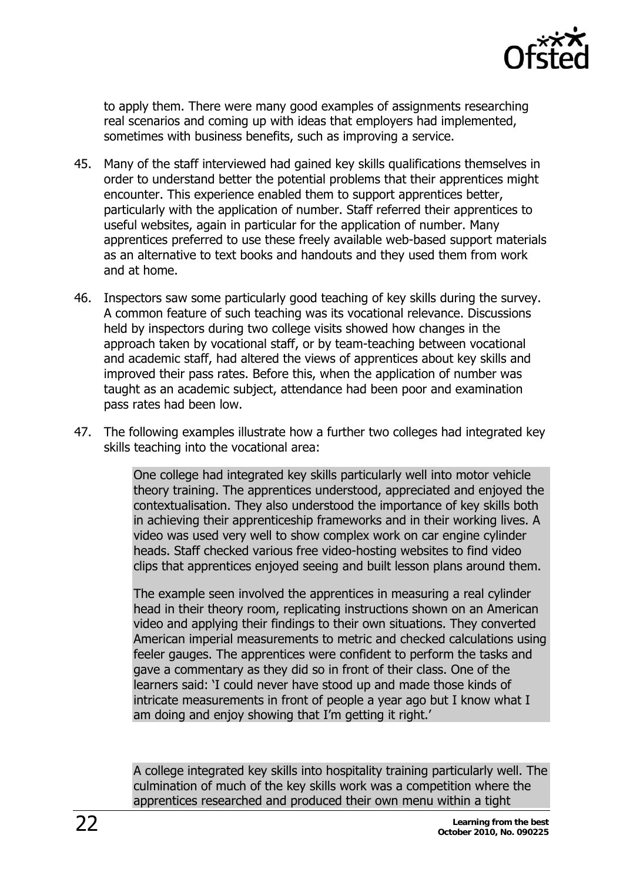

to apply them. There were many good examples of assignments researching real scenarios and coming up with ideas that employers had implemented, sometimes with business benefits, such as improving a service.

- 45. Many of the staff interviewed had gained key skills qualifications themselves in order to understand better the potential problems that their apprentices might encounter. This experience enabled them to support apprentices better, particularly with the application of number. Staff referred their apprentices to useful websites, again in particular for the application of number. Many apprentices preferred to use these freely available web-based support materials as an alternative to text books and handouts and they used them from work and at home.
- 46. Inspectors saw some particularly good teaching of key skills during the survey. A common feature of such teaching was its vocational relevance. Discussions held by inspectors during two college visits showed how changes in the approach taken by vocational staff, or by team-teaching between vocational and academic staff, had altered the views of apprentices about key skills and improved their pass rates. Before this, when the application of number was taught as an academic subject, attendance had been poor and examination pass rates had been low.
- 47. The following examples illustrate how a further two colleges had integrated key skills teaching into the vocational area:

One college had integrated key skills particularly well into motor vehicle theory training. The apprentices understood, appreciated and enjoyed the contextualisation. They also understood the importance of key skills both in achieving their apprenticeship frameworks and in their working lives. A video was used very well to show complex work on car engine cylinder heads. Staff checked various free video-hosting websites to find video clips that apprentices enjoyed seeing and built lesson plans around them.

The example seen involved the apprentices in measuring a real cylinder head in their theory room, replicating instructions shown on an American video and applying their findings to their own situations. They converted American imperial measurements to metric and checked calculations using feeler gauges. The apprentices were confident to perform the tasks and gave a commentary as they did so in front of their class. One of the learners said: 'I could never have stood up and made those kinds of intricate measurements in front of people a year ago but I know what I am doing and enjoy showing that I'm getting it right.'

A college integrated key skills into hospitality training particularly well. The culmination of much of the key skills work was a competition where the apprentices researched and produced their own menu within a tight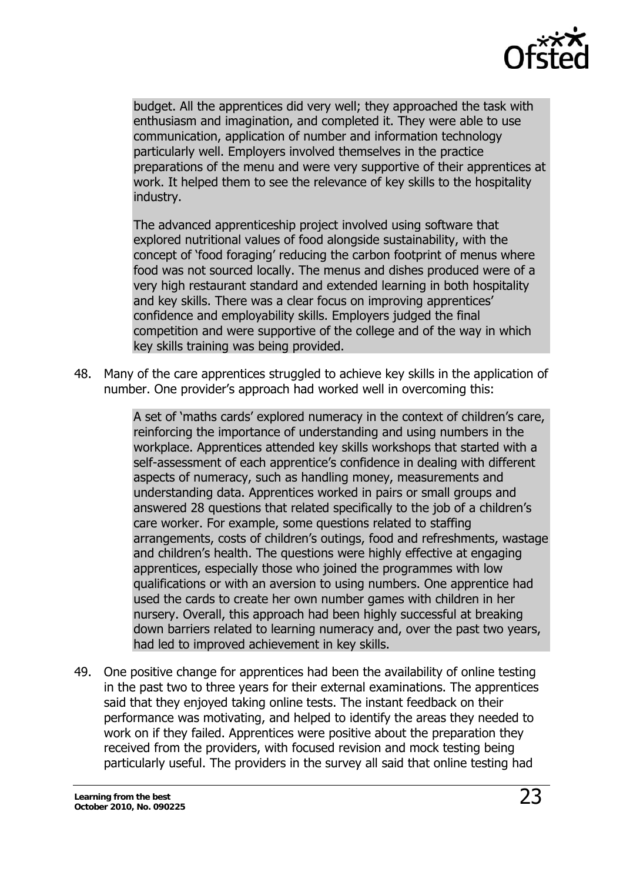

budget. All the apprentices did very well; they approached the task with enthusiasm and imagination, and completed it. They were able to use communication, application of number and information technology particularly well. Employers involved themselves in the practice preparations of the menu and were very supportive of their apprentices at work. It helped them to see the relevance of key skills to the hospitality industry.

The advanced apprenticeship project involved using software that explored nutritional values of food alongside sustainability, with the concept of 'food foraging' reducing the carbon footprint of menus where food was not sourced locally. The menus and dishes produced were of a very high restaurant standard and extended learning in both hospitality and key skills. There was a clear focus on improving apprentices' confidence and employability skills. Employers judged the final competition and were supportive of the college and of the way in which key skills training was being provided.

48. Many of the care apprentices struggled to achieve key skills in the application of number. One provider's approach had worked well in overcoming this:

> A set of 'maths cards' explored numeracy in the context of children's care, reinforcing the importance of understanding and using numbers in the workplace. Apprentices attended key skills workshops that started with a self-assessment of each apprentice's confidence in dealing with different aspects of numeracy, such as handling money, measurements and understanding data. Apprentices worked in pairs or small groups and answered 28 questions that related specifically to the job of a children's care worker. For example, some questions related to staffing arrangements, costs of children's outings, food and refreshments, wastage and children's health. The questions were highly effective at engaging apprentices, especially those who joined the programmes with low qualifications or with an aversion to using numbers. One apprentice had used the cards to create her own number games with children in her nursery. Overall, this approach had been highly successful at breaking down barriers related to learning numeracy and, over the past two years, had led to improved achievement in key skills.

49. One positive change for apprentices had been the availability of online testing in the past two to three years for their external examinations. The apprentices said that they enjoyed taking online tests. The instant feedback on their performance was motivating, and helped to identify the areas they needed to work on if they failed. Apprentices were positive about the preparation they received from the providers, with focused revision and mock testing being particularly useful. The providers in the survey all said that online testing had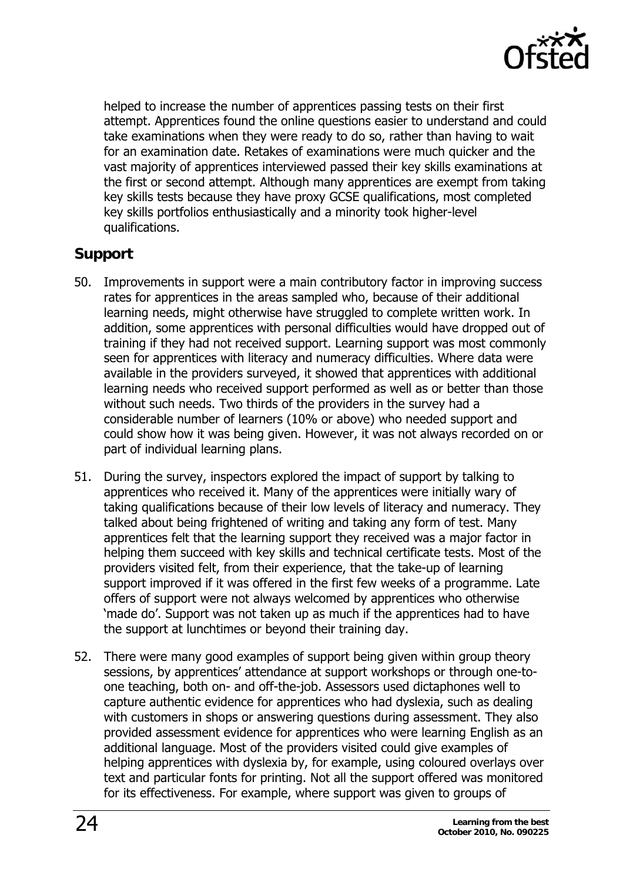

<span id="page-23-0"></span>helped to increase the number of apprentices passing tests on their first attempt. Apprentices found the online questions easier to understand and could take examinations when they were ready to do so, rather than having to wait for an examination date. Retakes of examinations were much quicker and the vast majority of apprentices interviewed passed their key skills examinations at the first or second attempt. Although many apprentices are exempt from taking key skills tests because they have proxy GCSE qualifications, most completed key skills portfolios enthusiastically and a minority took higher-level qualifications.

### **Support**

- 50. Improvements in support were a main contributory factor in improving success rates for apprentices in the areas sampled who, because of their additional learning needs, might otherwise have struggled to complete written work. In addition, some apprentices with personal difficulties would have dropped out of training if they had not received support. Learning support was most commonly seen for apprentices with literacy and numeracy difficulties. Where data were available in the providers surveyed, it showed that apprentices with additional learning needs who received support performed as well as or better than those without such needs. Two thirds of the providers in the survey had a considerable number of learners (10% or above) who needed support and could show how it was being given. However, it was not always recorded on or part of individual learning plans.
- 51. During the survey, inspectors explored the impact of support by talking to apprentices who received it. Many of the apprentices were initially wary of taking qualifications because of their low levels of literacy and numeracy. They talked about being frightened of writing and taking any form of test. Many apprentices felt that the learning support they received was a major factor in helping them succeed with key skills and technical certificate tests. Most of the providers visited felt, from their experience, that the take-up of learning support improved if it was offered in the first few weeks of a programme. Late offers of support were not always welcomed by apprentices who otherwise 'made do'. Support was not taken up as much if the apprentices had to have the support at lunchtimes or beyond their training day.
- 52. There were many good examples of support being given within group theory sessions, by apprentices' attendance at support workshops or through one-toone teaching, both on- and off-the-job. Assessors used dictaphones well to capture authentic evidence for apprentices who had dyslexia, such as dealing with customers in shops or answering questions during assessment. They also provided assessment evidence for apprentices who were learning English as an additional language. Most of the providers visited could give examples of helping apprentices with dyslexia by, for example, using coloured overlays over text and particular fonts for printing. Not all the support offered was monitored for its effectiveness. For example, where support was given to groups of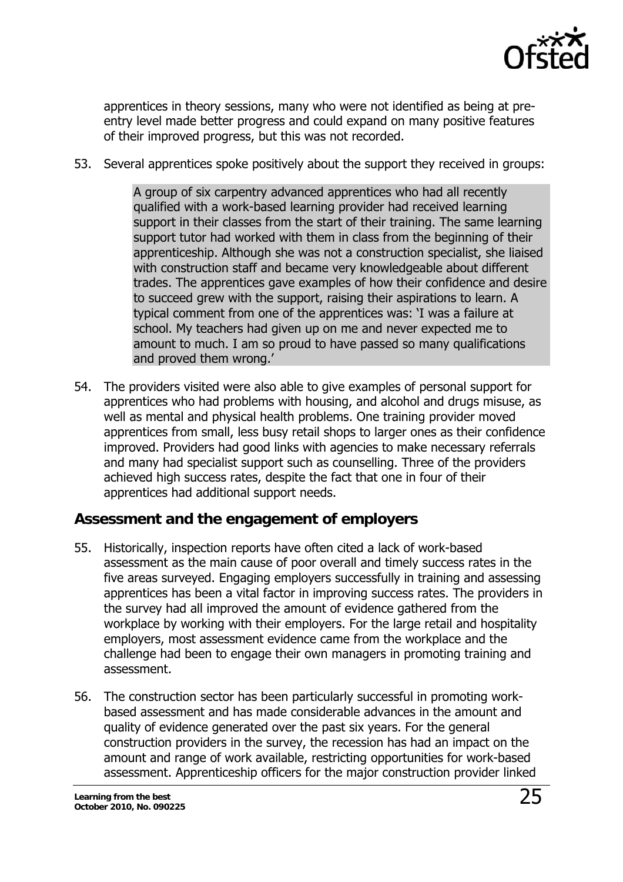

<span id="page-24-0"></span>apprentices in theory sessions, many who were not identified as being at preentry level made better progress and could expand on many positive features of their improved progress, but this was not recorded.

53. Several apprentices spoke positively about the support they received in groups:

A group of six carpentry advanced apprentices who had all recently qualified with a work-based learning provider had received learning support in their classes from the start of their training. The same learning support tutor had worked with them in class from the beginning of their apprenticeship. Although she was not a construction specialist, she liaised with construction staff and became very knowledgeable about different trades. The apprentices gave examples of how their confidence and desire to succeed grew with the support, raising their aspirations to learn. A typical comment from one of the apprentices was: 'I was a failure at school. My teachers had given up on me and never expected me to amount to much. I am so proud to have passed so many qualifications and proved them wrong.'

54. The providers visited were also able to give examples of personal support for apprentices who had problems with housing, and alcohol and drugs misuse, as well as mental and physical health problems. One training provider moved apprentices from small, less busy retail shops to larger ones as their confidence improved. Providers had good links with agencies to make necessary referrals and many had specialist support such as counselling. Three of the providers achieved high success rates, despite the fact that one in four of their apprentices had additional support needs.

#### **Assessment and the engagement of employers**

- 55. Historically, inspection reports have often cited a lack of work-based assessment as the main cause of poor overall and timely success rates in the five areas surveyed. Engaging employers successfully in training and assessing apprentices has been a vital factor in improving success rates. The providers in the survey had all improved the amount of evidence gathered from the workplace by working with their employers. For the large retail and hospitality employers, most assessment evidence came from the workplace and the challenge had been to engage their own managers in promoting training and assessment.
- 56. The construction sector has been particularly successful in promoting workbased assessment and has made considerable advances in the amount and quality of evidence generated over the past six years. For the general construction providers in the survey, the recession has had an impact on the amount and range of work available, restricting opportunities for work-based assessment. Apprenticeship officers for the major construction provider linked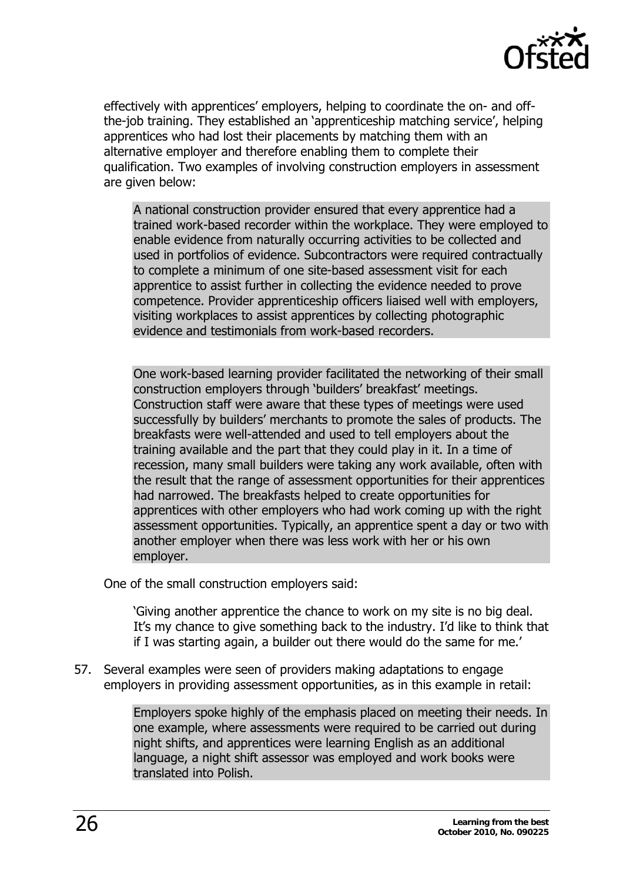

effectively with apprentices' employers, helping to coordinate the on- and offthe-job training. They established an 'apprenticeship matching service', helping apprentices who had lost their placements by matching them with an alternative employer and therefore enabling them to complete their qualification. Two examples of involving construction employers in assessment are given below:

A national construction provider ensured that every apprentice had a trained work-based recorder within the workplace. They were employed to enable evidence from naturally occurring activities to be collected and used in portfolios of evidence. Subcontractors were required contractually to complete a minimum of one site-based assessment visit for each apprentice to assist further in collecting the evidence needed to prove competence. Provider apprenticeship officers liaised well with employers, visiting workplaces to assist apprentices by collecting photographic evidence and testimonials from work-based recorders.

One work-based learning provider facilitated the networking of their small construction employers through 'builders' breakfast' meetings. Construction staff were aware that these types of meetings were used successfully by builders' merchants to promote the sales of products. The breakfasts were well-attended and used to tell employers about the training available and the part that they could play in it. In a time of recession, many small builders were taking any work available, often with the result that the range of assessment opportunities for their apprentices had narrowed. The breakfasts helped to create opportunities for apprentices with other employers who had work coming up with the right assessment opportunities. Typically, an apprentice spent a day or two with another employer when there was less work with her or his own employer.

One of the small construction employers said:

'Giving another apprentice the chance to work on my site is no big deal. It's my chance to give something back to the industry. I'd like to think that if I was starting again, a builder out there would do the same for me.'

57. Several examples were seen of providers making adaptations to engage employers in providing assessment opportunities, as in this example in retail:

> Employers spoke highly of the emphasis placed on meeting their needs. In one example, where assessments were required to be carried out during night shifts, and apprentices were learning English as an additional language, a night shift assessor was employed and work books were translated into Polish.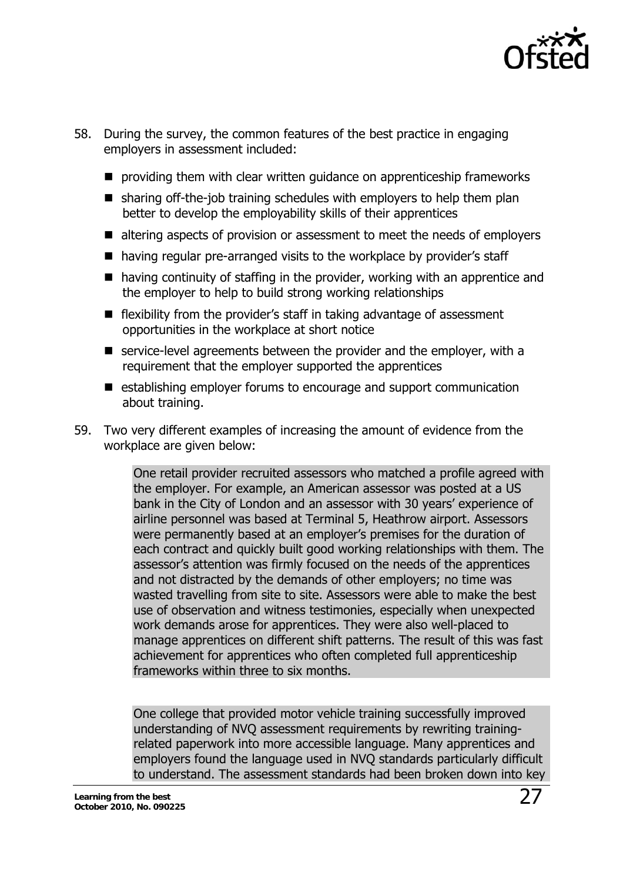

- 58. During the survey, the common features of the best practice in engaging employers in assessment included:
	- **P** providing them with clear written guidance on apprenticeship frameworks
	- $\blacksquare$  sharing off-the-job training schedules with employers to help them plan better to develop the employability skills of their apprentices
	- altering aspects of provision or assessment to meet the needs of employers
	- having regular pre-arranged visits to the workplace by provider's staff
	- having continuity of staffing in the provider, working with an apprentice and the employer to help to build strong working relationships
	- $\blacksquare$  flexibility from the provider's staff in taking advantage of assessment opportunities in the workplace at short notice
	- $\blacksquare$  service-level agreements between the provider and the employer, with a requirement that the employer supported the apprentices
	- establishing employer forums to encourage and support communication about training.
- 59. Two very different examples of increasing the amount of evidence from the workplace are given below:

One retail provider recruited assessors who matched a profile agreed with the employer. For example, an American assessor was posted at a US bank in the City of London and an assessor with 30 years' experience of airline personnel was based at Terminal 5, Heathrow airport. Assessors were permanently based at an employer's premises for the duration of each contract and quickly built good working relationships with them. The assessor's attention was firmly focused on the needs of the apprentices and not distracted by the demands of other employers; no time was wasted travelling from site to site. Assessors were able to make the best use of observation and witness testimonies, especially when unexpected work demands arose for apprentices. They were also well-placed to manage apprentices on different shift patterns. The result of this was fast achievement for apprentices who often completed full apprenticeship frameworks within three to six months.

One college that provided motor vehicle training successfully improved understanding of NVQ assessment requirements by rewriting trainingrelated paperwork into more accessible language. Many apprentices and employers found the language used in NVQ standards particularly difficult to understand. The assessment standards had been broken down into key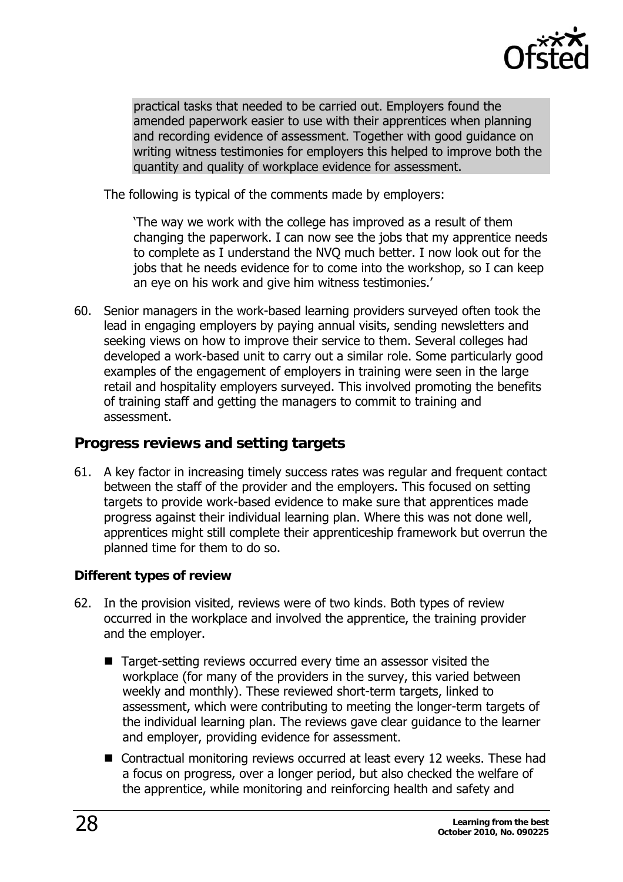

<span id="page-27-0"></span>practical tasks that needed to be carried out. Employers found the amended paperwork easier to use with their apprentices when planning and recording evidence of assessment. Together with good guidance on writing witness testimonies for employers this helped to improve both the quantity and quality of workplace evidence for assessment.

The following is typical of the comments made by employers:

'The way we work with the college has improved as a result of them changing the paperwork. I can now see the jobs that my apprentice needs to complete as I understand the NVQ much better. I now look out for the jobs that he needs evidence for to come into the workshop, so I can keep an eye on his work and give him witness testimonies.'

60. Senior managers in the work-based learning providers surveyed often took the lead in engaging employers by paying annual visits, sending newsletters and seeking views on how to improve their service to them. Several colleges had developed a work-based unit to carry out a similar role. Some particularly good examples of the engagement of employers in training were seen in the large retail and hospitality employers surveyed. This involved promoting the benefits of training staff and getting the managers to commit to training and assessment.

#### **Progress reviews and setting targets**

61. A key factor in increasing timely success rates was regular and frequent contact between the staff of the provider and the employers. This focused on setting targets to provide work-based evidence to make sure that apprentices made progress against their individual learning plan. Where this was not done well, apprentices might still complete their apprenticeship framework but overrun the planned time for them to do so.

#### **Different types of review**

- 62. In the provision visited, reviews were of two kinds. Both types of review occurred in the workplace and involved the apprentice, the training provider and the employer.
	- Target-setting reviews occurred every time an assessor visited the workplace (for many of the providers in the survey, this varied between weekly and monthly). These reviewed short-term targets, linked to assessment, which were contributing to meeting the longer-term targets of the individual learning plan. The reviews gave clear guidance to the learner and employer, providing evidence for assessment.
	- Contractual monitoring reviews occurred at least every 12 weeks. These had a focus on progress, over a longer period, but also checked the welfare of the apprentice, while monitoring and reinforcing health and safety and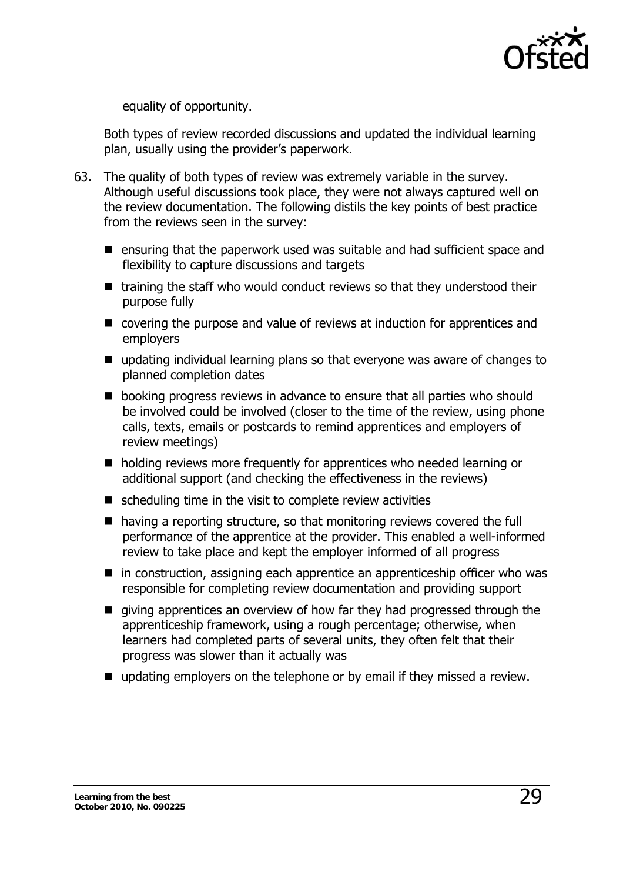

equality of opportunity.

Both types of review recorded discussions and updated the individual learning plan, usually using the provider's paperwork.

- 63. The quality of both types of review was extremely variable in the survey. Although useful discussions took place, they were not always captured well on the review documentation. The following distils the key points of best practice from the reviews seen in the survey:
	- **E** ensuring that the paperwork used was suitable and had sufficient space and flexibility to capture discussions and targets
	- $\blacksquare$  training the staff who would conduct reviews so that they understood their purpose fully
	- covering the purpose and value of reviews at induction for apprentices and employers
	- updating individual learning plans so that everyone was aware of changes to planned completion dates
	- **De** booking progress reviews in advance to ensure that all parties who should be involved could be involved (closer to the time of the review, using phone calls, texts, emails or postcards to remind apprentices and employers of review meetings)
	- holding reviews more frequently for apprentices who needed learning or additional support (and checking the effectiveness in the reviews)
	- $\blacksquare$  scheduling time in the visit to complete review activities
	- having a reporting structure, so that monitoring reviews covered the full performance of the apprentice at the provider. This enabled a well-informed review to take place and kept the employer informed of all progress
	- in construction, assigning each apprentice an apprenticeship officer who was responsible for completing review documentation and providing support
	- qiving apprentices an overview of how far they had progressed through the apprenticeship framework, using a rough percentage; otherwise, when learners had completed parts of several units, they often felt that their progress was slower than it actually was
	- updating employers on the telephone or by email if they missed a review.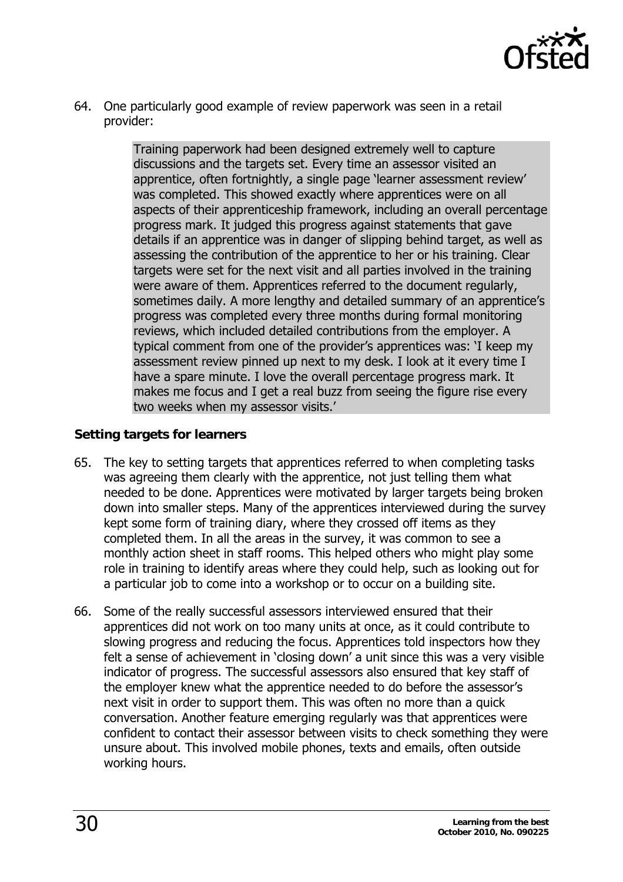

<span id="page-29-0"></span>64. One particularly good example of review paperwork was seen in a retail provider:

> Training paperwork had been designed extremely well to capture discussions and the targets set. Every time an assessor visited an apprentice, often fortnightly, a single page 'learner assessment review' was completed. This showed exactly where apprentices were on all aspects of their apprenticeship framework, including an overall percentage progress mark. It judged this progress against statements that gave details if an apprentice was in danger of slipping behind target, as well as assessing the contribution of the apprentice to her or his training. Clear targets were set for the next visit and all parties involved in the training were aware of them. Apprentices referred to the document regularly, sometimes daily. A more lengthy and detailed summary of an apprentice's progress was completed every three months during formal monitoring reviews, which included detailed contributions from the employer. A typical comment from one of the provider's apprentices was: 'I keep my assessment review pinned up next to my desk. I look at it every time I have a spare minute. I love the overall percentage progress mark. It makes me focus and I get a real buzz from seeing the figure rise every two weeks when my assessor visits.'

#### **Setting targets for learners**

- 65. The key to setting targets that apprentices referred to when completing tasks was agreeing them clearly with the apprentice, not just telling them what needed to be done. Apprentices were motivated by larger targets being broken down into smaller steps. Many of the apprentices interviewed during the survey kept some form of training diary, where they crossed off items as they completed them. In all the areas in the survey, it was common to see a monthly action sheet in staff rooms. This helped others who might play some role in training to identify areas where they could help, such as looking out for a particular job to come into a workshop or to occur on a building site.
- 66. Some of the really successful assessors interviewed ensured that their apprentices did not work on too many units at once, as it could contribute to slowing progress and reducing the focus. Apprentices told inspectors how they felt a sense of achievement in 'closing down' a unit since this was a very visible indicator of progress. The successful assessors also ensured that key staff of the employer knew what the apprentice needed to do before the assessor's next visit in order to support them. This was often no more than a quick conversation. Another feature emerging regularly was that apprentices were confident to contact their assessor between visits to check something they were unsure about. This involved mobile phones, texts and emails, often outside working hours.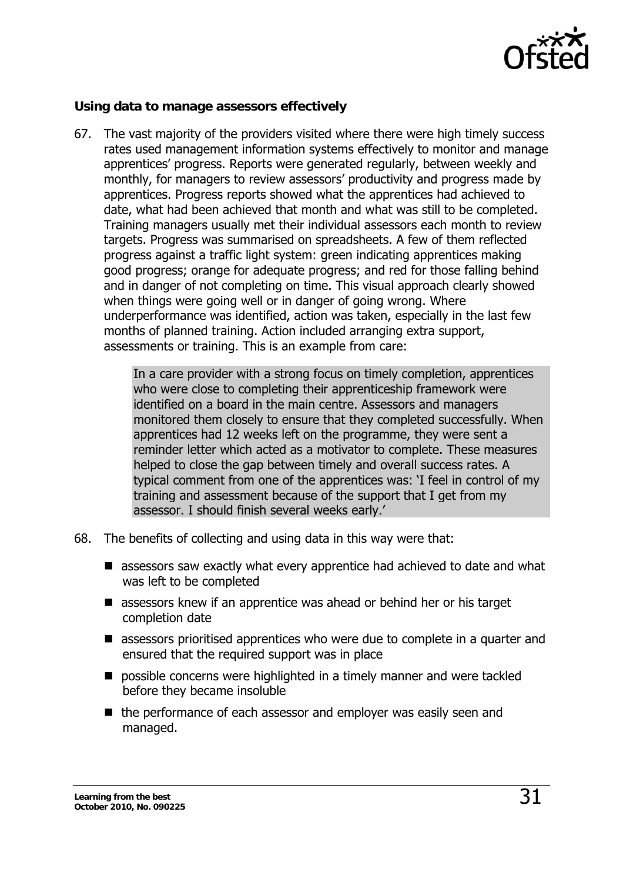

#### <span id="page-30-0"></span>**Using data to manage assessors effectively**

67. The vast majority of the providers visited where there were high timely success rates used management information systems effectively to monitor and manage apprentices' progress. Reports were generated regularly, between weekly and monthly, for managers to review assessors' productivity and progress made by apprentices. Progress reports showed what the apprentices had achieved to date, what had been achieved that month and what was still to be completed. Training managers usually met their individual assessors each month to review targets. Progress was summarised on spreadsheets. A few of them reflected progress against a traffic light system: green indicating apprentices making good progress; orange for adequate progress; and red for those falling behind and in danger of not completing on time. This visual approach clearly showed when things were going well or in danger of going wrong. Where underperformance was identified, action was taken, especially in the last few months of planned training. Action included arranging extra support, assessments or training. This is an example from care:

> In a care provider with a strong focus on timely completion, apprentices who were close to completing their apprenticeship framework were identified on a board in the main centre. Assessors and managers monitored them closely to ensure that they completed successfully. When apprentices had 12 weeks left on the programme, they were sent a reminder letter which acted as a motivator to complete. These measures helped to close the gap between timely and overall success rates. A typical comment from one of the apprentices was: 'I feel in control of my training and assessment because of the support that I get from my assessor. I should finish several weeks early.'

- 68. The benefits of collecting and using data in this way were that:
	- assessors saw exactly what every apprentice had achieved to date and what was left to be completed
	- assessors knew if an apprentice was ahead or behind her or his target completion date
	- assessors prioritised apprentices who were due to complete in a quarter and ensured that the required support was in place
	- $\blacksquare$  possible concerns were highlighted in a timely manner and were tackled before they became insoluble
	- the performance of each assessor and employer was easily seen and managed.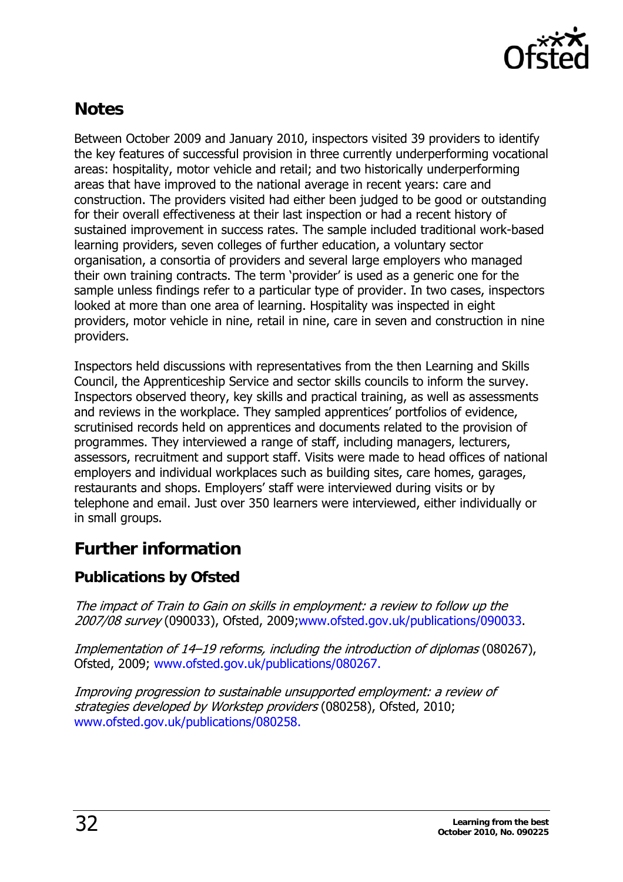

# <span id="page-31-0"></span>**Notes**

Between October 2009 and January 2010, inspectors visited 39 providers to identify the key features of successful provision in three currently underperforming vocational areas: hospitality, motor vehicle and retail; and two historically underperforming areas that have improved to the national average in recent years: care and construction. The providers visited had either been judged to be good or outstanding for their overall effectiveness at their last inspection or had a recent history of sustained improvement in success rates. The sample included traditional work-based learning providers, seven colleges of further education, a voluntary sector organisation, a consortia of providers and several large employers who managed their own training contracts. The term 'provider' is used as a generic one for the sample unless findings refer to a particular type of provider. In two cases, inspectors looked at more than one area of learning. Hospitality was inspected in eight providers, motor vehicle in nine, retail in nine, care in seven and construction in nine providers.

Inspectors held discussions with representatives from the then Learning and Skills Council, the Apprenticeship Service and sector skills councils to inform the survey. Inspectors observed theory, key skills and practical training, as well as assessments and reviews in the workplace. They sampled apprentices' portfolios of evidence, scrutinised records held on apprentices and documents related to the provision of programmes. They interviewed a range of staff, including managers, lecturers, assessors, recruitment and support staff. Visits were made to head offices of national employers and individual workplaces such as building sites, care homes, garages, restaurants and shops. Employers' staff were interviewed during visits or by telephone and email. Just over 350 learners were interviewed, either individually or in small groups.

# **Further information**

# **Publications by Ofsted**

The impact of Train to Gain on skills in employment: a review to follow up the 2007/08 survey (090033), Ofsted, 2009[;www.ofsted.gov.uk/publications/090033](http://www.ofsted.gov.uk/publications/090033).

[Implementation of 14–19 reforms, including the introduction of diplomas](http://www.ofsted.gov.uk/Ofsted-home/Publications-and-research/Browse-all-by/Documents-by-type/Thematic-reports/Implementation-of-14-19-reforms-including-the-introduction-of-Diplomas) (080267), Ofsted, 2009; [www.ofsted.gov.uk/publications/080267](http://www.ofsted.gov.uk/publications/080267).

Improving progression to sustainable unsupported employment: a review of strategies developed by Workstep providers (080258), Ofsted, 2010; [www.ofsted.gov.uk/publications/080258.](http://www.ofsted.gov.uk/publications/080258)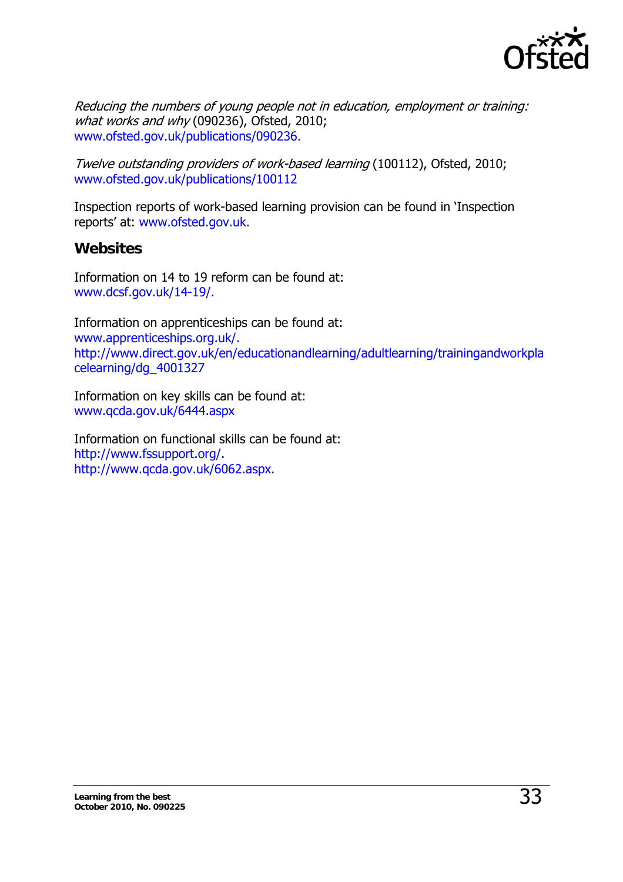

<span id="page-32-0"></span>[Reducing the numbers of young people not in education, employment or training:](http://www.ofsted.gov.uk/Ofsted-home/Publications-and-research/Browse-all-by/Documents-by-type/Thematic-reports/Reducing-the-numbers-of-young-people-not-in-education-employment-or-training-what-works-and-why/(language)/eng-GB) [what works and why](http://www.ofsted.gov.uk/Ofsted-home/Publications-and-research/Browse-all-by/Documents-by-type/Thematic-reports/Reducing-the-numbers-of-young-people-not-in-education-employment-or-training-what-works-and-why/(language)/eng-GB) (090236), Ofsted, 2010; [www.ofsted.gov.uk/publications/090236.](http://www.ofsted.gov.uk/publications/090236)

Twelve outstanding providers of work-based learning (100112), Ofsted, 2010; [www.ofsted.gov.uk/publications/100112](http://www.ofsted.gov.uk/publications/100112) 

Inspection reports of work-based learning provision can be found in 'Inspection reports' at: [www.ofsted.gov.uk](http://www.ofsted.gov.uk/publications/100112).

#### **Websites**

Information on 14 to 19 reform can be found at: [www.dcsf.gov.uk/14-19/](http://www.dcsf.gov.uk/14-19/).

Information on apprenticeships can be found at: [www.apprenticeships.org.uk/.](http://www.apprenticeships.org.uk/) [http://www.direct.gov.uk/en/educationandlearning/adultlearning/trainingandworkpla](http://www.direct.gov.uk/en/educationandlearning/adultlearning/trainingandworkplacelearning/dg_4001327) [celearning/dg\\_4001327](http://www.direct.gov.uk/en/educationandlearning/adultlearning/trainingandworkplacelearning/dg_4001327) 

Information on key skills can be found at: [www.qcda.gov.uk/6444.aspx](http://www.qcda.gov.uk/6444.aspx) 

Information on functional skills can be found at: <http://www.fssupport.org/.> [http://www.qcda.gov.uk/6062.aspx.](http://www.fssupport.org/.)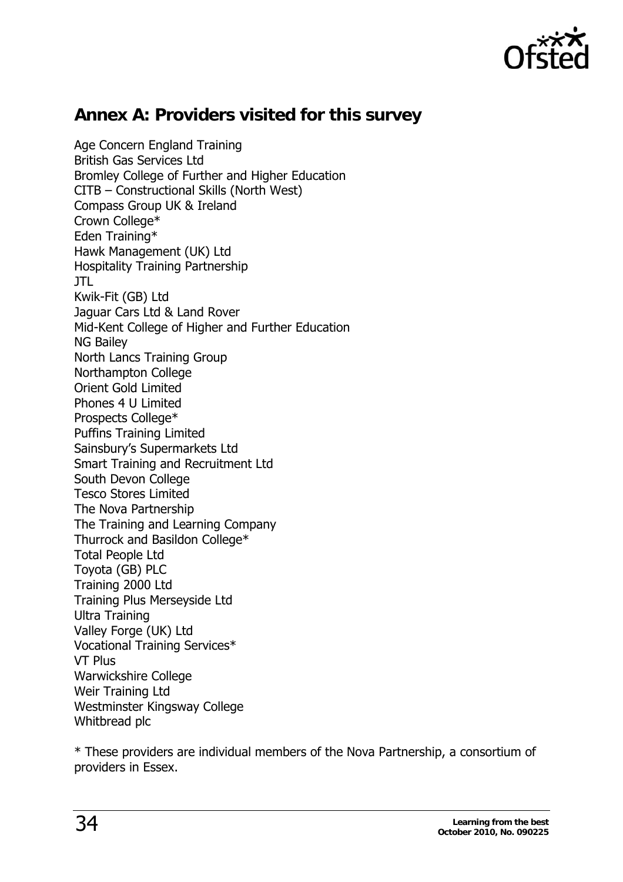

# <span id="page-33-0"></span>**Annex A: Providers visited for this survey**

Age Concern England Training British Gas Services Ltd Bromley College of Further and Higher Education CITB – Constructional Skills (North West) Compass Group UK & Ireland Crown College\* Eden Training\* Hawk Management (UK) Ltd Hospitality Training Partnership JTL Kwik-Fit (GB) Ltd Jaguar Cars Ltd & Land Rover Mid-Kent College of Higher and Further Education NG Bailey North Lancs Training Group Northampton College Orient Gold Limited Phones 4 U Limited Prospects College\* Puffins Training Limited Sainsbury's Supermarkets Ltd Smart Training and Recruitment Ltd South Devon College Tesco Stores Limited The Nova Partnership The Training and Learning Company Thurrock and Basildon College\* Total People Ltd Toyota (GB) PLC Training 2000 Ltd Training Plus Merseyside Ltd Ultra Training Valley Forge (UK) Ltd Vocational Training Services\* VT Plus Warwickshire College Weir Training Ltd Westminster Kingsway College Whitbread plc

\* These providers are individual members of the Nova Partnership, a consortium of providers in Essex.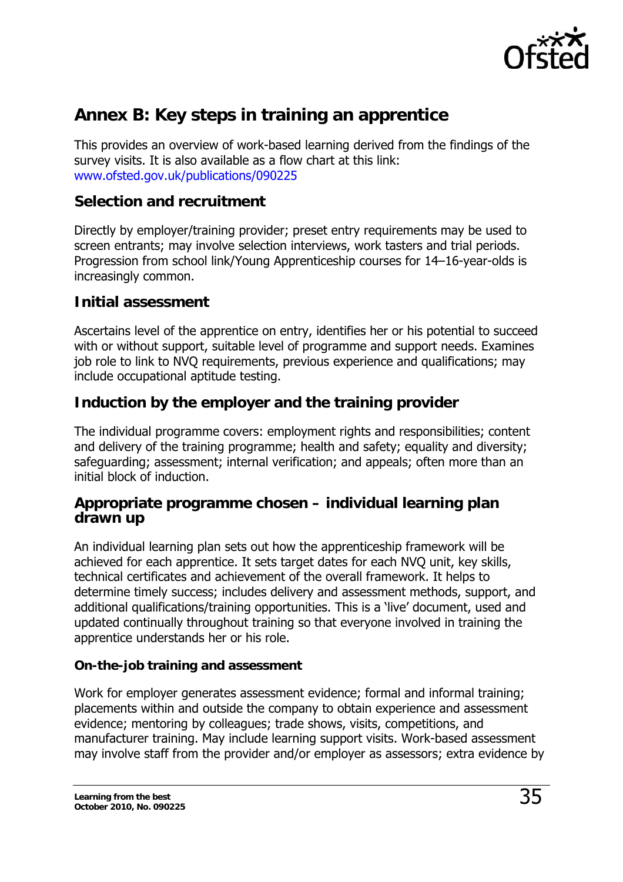

# <span id="page-34-0"></span>**Annex B: Key steps in training an apprentice**

This provides an overview of work-based learning derived from the findings of the survey visits. It is also available as a flow chart at this link: <www.ofsted.gov.uk/publications/090225>

### **Selection and recruitment**

Directly by employer/training provider; preset entry requirements may be used to screen entrants; may involve selection interviews, work tasters and trial periods. Progression from school link/Young Apprenticeship courses for 14–16-year-olds is increasingly common.

#### **Initial assessment**

Ascertains level of the apprentice on entry, identifies her or his potential to succeed with or without support, suitable level of programme and support needs. Examines job role to link to NVQ requirements, previous experience and qualifications; may include occupational aptitude testing.

### **Induction by the employer and the training provider**

The individual programme covers: employment rights and responsibilities; content and delivery of the training programme; health and safety; equality and diversity; safeguarding; assessment; internal verification; and appeals; often more than an initial block of induction.

#### **Appropriate programme chosen – individual learning plan drawn up**

An individual learning plan sets out how the apprenticeship framework will be achieved for each apprentice. It sets target dates for each NVQ unit, key skills, technical certificates and achievement of the overall framework. It helps to determine timely success; includes delivery and assessment methods, support, and additional qualifications/training opportunities. This is a 'live' document, used and updated continually throughout training so that everyone involved in training the apprentice understands her or his role.

#### **On-the-job training and assessment**

Work for employer generates assessment evidence; formal and informal training; placements within and outside the company to obtain experience and assessment evidence; mentoring by colleagues; trade shows, visits, competitions, and manufacturer training. May include learning support visits. Work-based assessment may involve staff from the provider and/or employer as assessors; extra evidence by